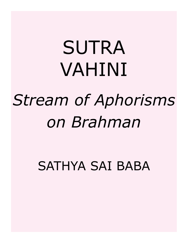# SUTRA VAHINI *Stream of Aphorisms on Brahman*

SATHYA SAI BABA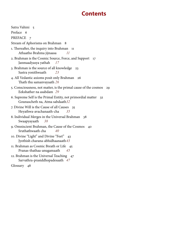# **Contents**

| Sutra Vahini 5                                                                                       |    |
|------------------------------------------------------------------------------------------------------|----|
| Preface 6                                                                                            |    |
| PREFACE 7                                                                                            |    |
| Stream of Aphorisms on Brahman<br>- 8                                                                |    |
| 1. Thereafter, the inquiry into Brahman<br>11<br>Athaatho Brahma jijnaasa<br>11                      |    |
| 2. Brahman is the Cosmic Source, Force, and Support<br>17<br>Janmaadyasya yathah<br>17               |    |
| 3. Brahman is the source of all knowledge<br>23<br>Sastra yonithwaath<br>23                          |    |
| 4. All Vedantic axioms posit only Brahman<br>26<br>Thath thu samanyayaath 26                         |    |
| 5. Consciousness, not matter, is the primal cause of the cosmos<br>Eekshather na asabdam 29          | 29 |
| 6. Supreme Self is the Primal Entity, not primordial matter<br>32<br>Gounascheth na, Atma sabdaath32 |    |
| 7. Divine Will is the Cause of all Causes<br>35<br>Heyathwa-avachanaath-cha<br>35                    |    |
| 8. Individual Merges in the Universal Brahman 38<br>Swaapyayaath<br>38                               |    |
| 9. Omniscient Brahman, the Cause of the Cosmos<br>40<br>Sruthathwaath cha<br>40                      |    |
| 10. Divine "Light" and Divine "Feet" 43<br>Jyothish charana-abhidhaanaath 43                         |    |
| 11. Brahman as Cosmic Breath or Life<br>45<br>Pranas-thathaa-anugamaath<br>45                        |    |
| 12. Brahman is the Universal Teaching 47<br>Sarvathra-prasiddhopadesaath 47                          |    |
| Glossary 48                                                                                          |    |
|                                                                                                      |    |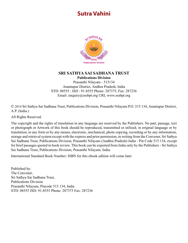# <span id="page-4-0"></span>**Sutra Vahini**



#### **SRI SATHYA SAI SADHANA TRUST Publications Division**

Prasanthi Nilayam - 515134 Anantapur District, Andhra Pradesh, India STD: 08555 : ISD : 91-8555 Phone: 287375, Fax: 287236 Email: enquiry@sssbpt.org URL www.sssbpt.org

© 2014 Sri Sathya Sai Sadhana Trust, Publications Division, Prasanthi Nilayam P.O. 515 134, Anantapur District, A.P. (India.)

All Rights Reserved.

The copyright and the rights of translation in any language are reserved by the Publishers. No part, passage, text or photograph or Artwork of this book should be reproduced, transmitted or utilised, in original language or by translation, in any form or by any means, electronic, mechanical, photo copying, recording or by any information, storage and retrieval system except with the express and prior permission, in writing from the Convener, Sri Sathya Sai Sadhana Trust, Publications Division, Prasanthi Nilayam (Andhra Pradesh) India - Pin Code 515 134, except for brief passages quoted in book review. This book can be exported from India only by the Publishers - Sri Sathya Sai Sadhana Trust, Publications Division, Prasanthi Nilayam, India.

International Standard Book Number: ISBN for this ebook edition will come later

Published by: The Convener, Sri Sathya Sai Sadhana Trust, Publications Division Prasanthi Nilayam, Pincode 515 134, India STD: 08555 ISD: 91-8555 Phone: 287375 Fax: 287236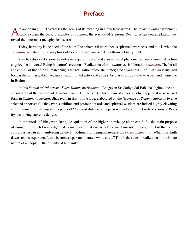# **Preface**

<span id="page-5-0"></span>An aphorism ([sutra](#page-57-0)) expresses the genus of its meaning in a few terse words. The [Brahma Sutras](#page-49-0) systemati-<br>Cally explain the basic principles of [Vedanta](#page-59-0), the science of Supreme Reality. When contemplated, they reveal the innermost metaphysical secrets.

Today, harmony is the need of the hour. The ephemeral world needs spiritual awareness, and this is what the *Vedantins* visualise. *[Vedic](#page-59-1)* scriptures offer comforting counsel. They throw a kindly light.

Man has distorted vision: he dotes on apparently real and also non-real phenomena. True vision makes him cognize the universal Being in nature's creations. Realization of this awareness is liberation (*[moksha](#page-53-0)*). The be-all and end-all of life of the human being is the realization of constant integrated awareness —of *[Brahman](#page-49-1)* visualized both as the primary, absolute, supreme, unlimited entity and as its subsidiary cosmic creative aspect and mergence in Brahman.

In this *Stream of Aphorisms* (*Sutra Vahini*) on *[Brahman](#page-49-1)*, Bhagavan Sri Sathya Sai Baba has lighted the universal lamp of the wisdom of *[Atma](#page-48-0)*/*[Brahman](#page-49-1)* (Divine Self). This stream of aphorisms first appeared in serialized form in *Sanathana Sarathi*. Bhagavan, in His infinite love, elaborated on the "Essence of *Brahma Sutras* in twelve selected aphorisms". Bhagavan's sublime and profound words and spiritual wisdom are indeed highly elevating and illuminating. Bathing in this pellucid *Stream of Aphorisms*, a person develops correct or true vision of Reality, bestowing supreme delight.

In the words of Bhagavan Baba, "Acquisition of the higher knowledge alone can fulfill the main purpose of human life. Such knowledge makes one aware that one is not the inert insentient body, etc., but that one is consciousness itself manifesting as the embodiment of being-awareness-bliss (*[satchidananda](#page-57-1)*). When this truth dawns and is experienced, one becomes a person liberated while alive." This is the state of realization of the innate nature of a people —the divinity of humanity.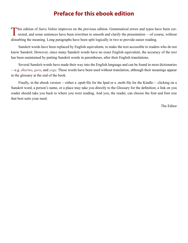## **Preface for this ebook edition**

<span id="page-6-0"></span>This edition of *Sutra Vahini* improves on the previous edition. Grammatical errors and typos have been corrected, and some sentences have been rewritten to smooth and clarify the presentation —of course, without disturbing the meaning. Long paragraphs have been split logically in two to provide easier reading.

Sanskrit words have been replaced by English equivalents, to make the text accessible to readers who do not know Sanskrit. However, since many Sanskrit words have no exact English equivalent, the accuracy of the text has been maintained by putting Sanskrit words in parentheses, after their English translations.

Several Sanskrit words have made their way into the English language and can be found in most dictionaries —e.g. *[dharma](#page-50-0)*, *[guru](#page-50-1)*, and *[yoga](#page-60-0)*. These words have been used without translation, although their meanings appear in the glossary at the end of the book.

Finally, in the ebook version —either a .epub file for the Ipad or a .mobi file for the Kindle— clicking on a Sanskrit word, a person's name, or a place may take you directly to the Glossary for the definition; a link on you reader should take you back to where you were reading. And you, the reader, can choose the font and font size that best suits your need.

The Editor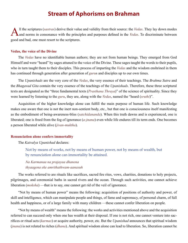## **Stream of Aphorisms on Brahman**

<span id="page-7-0"></span>All the scriptures ([sastras](#page-56-0)) derive their value and validity from their source: the [Vedas](#page-59-2). They lay down modes<br>And norms in consonance with the principles and purposes defined in the Vedas. To discriminate between good and bad, one must resort to the scriptures.

#### **Vedas, the voice of the Divine**

The *[Vedas](#page-59-2)* have no identifiable human authors; they are not from human beings. They emerged from God Himself and were "heard" by sages attuned to the voice of the Divine. These sages taught the words to their pupils, who in turn taught them to their disciples. This process of imparting the *[Vedas](#page-59-2)* and the wisdom enshrined in them has continued through generation after generation of *[guru](#page-50-1)*s and disciples up to our own times.

The *[Upanishads](#page-58-0)* are the very core of the *[Vedas](#page-59-2)*, the very essence of their teachings. The *[Brahma Sutra](#page-49-0)* and the *[Bhagavad Gita](#page-48-1)* contain the very essence of the teachings of the *[Upanishads](#page-58-0)*. Therefore, these three scriptural texts are designated as the "three fundamental texts (*[Prasthana Thraya](#page-55-0)*)" of the science of spirituality. Since they were learned by listening to the *[guru](#page-50-1)*, they are, along with the *[Vedas](#page-59-2)*, named the "heard (*[sruthi](#page-57-2)*)".

Acquisition of the higher knowledge alone can fulfill the main purpose of human life. Such knowledge makes one aware that one is not the inert non-sentient body, etc., but that one is consciousness itself manifesting as the embodiment of being-awareness-bliss (*[satchidananda](#page-57-1)*). When this truth dawns and is experienced, one is liberated; one is freed from the fog of ignorance (*[a-jnana](#page-47-1)*) even while life endures till its term ends. One becomes a person liberated while alive (*[jivan-muktha](#page-51-0)*).

#### **Renunciation alone confers immortality**

The *[Kaivalya Upanishad](#page-51-1)* declares:

Not by means of works, not by means of human power, not by means of wealth, but by renunciation alone can immortality be attained.

#### *Na Karmanaa na prajayaa dhanena thyaagena eke amrithathwam-aanasuh*

The works referred to are rituals like sacrifices, sacred fire rites, vows, charities, donations to holy projects, pilgrimages, and ceremonial baths in sacred rivers and the ocean. Through such activities, one cannot achieve liberation (*[moksha](#page-53-0)*) —that is to say, one cannot get rid of the veil of ignorance.

"Not by means of human power" means the following: acquisition of positions of authority and power, of skill and intelligence, which can manipulate people and things, of fame and supremacy, of personal charm, of full health and happiness, or of a large family with many children —these cannot confer liberation on people.

"Not by means of wealth" means the following: the works and activities mentioned above and the acquisition referred to can succeed only when one has wealth at their disposal. If one is not rich, one cannot venture into sacrifices or ritual acts (*[karmas](#page-52-0)*) or acquire authority, power, etc. But the *[Upanishad](#page-58-0)* announces that spiritual wisdom (*[jnana](#page-51-2)*) is not related to riches (*[dhana](#page-50-2)*). And spiritual wisdom alone can lead to liberation. So, liberation cannot be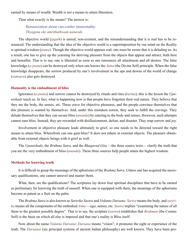earned by means of wealth. Wealth is not a means to attain liberation.

Then what exactly is the means? The answer is:

Renunciation alone can confer immortality. *Thyagena eke amrithathwam aanasuh*.

The objective world (*[jagath](#page-51-3)*) is unreal, non-existent, and the misunderstanding that it is real has to be renounced. The understanding that the idea of the objective world is a superimposition by our mind on the Reality is spiritual wisdom (*[jnana](#page-51-2)*). Though the objective world appears real, one must be aware that it is deluding us. As a result, one has to give up the yearning for deriving pleasure from the objects that appear and attract, both here and hereafter. That is to say, one is liberated as soon as one renounces all attachment and all desires. The false knowledge (*[a-jnana](#page-47-1)*) can be destroyed only when one knows the *[Atma](#page-48-0)* (the Divine Self) principle. When the false knowledge disappears, the sorrow produced by one's involvement in the ups and downs of the world of change (*[samsara](#page-56-1)*) also gets destroyed.

#### **Humanity is the embodiment of bliss**

Ignorance (*[a-jnana](#page-47-1)*) and sorrow cannot be destroyed by rituals and rites (*[karma](#page-52-0)*); this is the lesson the *[Upa](#page-58-0)[nishads](#page-58-0)* teach us. In fact, what is happening now is that people have forgotten their real nature. They believe that they are the body, the senses, etc. These crave for objective pleasures, and the people convince themselves that this pleasure is wanted by themselves. And, under this mistaken notion, they seek to fulfill the cravings. They delude themselves that they can secure bliss (*[ananda](#page-47-2)*) by catering to the body and senses. However, such attempts cannot earn bliss. Instead, they are rewarded with disillusionment, defeat, and disaster. They reap sorrow and joy.

Involvement in objective pleasure leads ultimately to grief, so one needs to be directed toward the right means to attain bliss. Wherefrom can one gain bliss? It does not inhere in external objects. The pleasure obtainable from external objects brings with it grief as well.

The *[Upanishads](#page-58-0)*, the *[Brahma Sutra](#page-49-0)*, and the *[Bhagavad Gita](#page-48-1)* —the three source texts— clarify the truth that you are the very embodiment of bliss (*[ananda](#page-47-2)*). These three sources help people attain the highest wisdom.

#### **Methods for knowing truth**

It is difficult to grasp the meanings of the aphorisms of the *[Brahma Sutra](#page-49-0)*. Unless one has acquired the necessary qualifications, one cannot unravel and master them.

What, then, are the qualifications? The scriptures lay down four spiritual disciplines that have to be earned as preliminary for knowing the truth of oneself. When one is equipped with them, the meanings of the aphorisms become as patent as a fruit on the palm.

The *[Brahma Sutra](#page-49-0)* is also known as *Saririka Sastra* and *Vedanta Darsana*. *[Sarira](#page-56-2)* means the body, and *saririka* means all the components of the embodied *[Atma](#page-48-0)* —ego, senses, etc. *Sastra* implies "examining the nature of all these to the greatest possible degree". That is to say, the scripture (*[sastra](#page-56-0)*) establishes that *[Brahman](#page-49-1)* (the Cosmic Self) is the basis on which all else is imposed and that one's reality is Bliss itself.

Now about the name *Vedanta Darsana*: *[Darsana](#page-50-3)* means "vision"; it promotes the sight or experience of the truth. The *[Darsanas](#page-50-3)* (six principal systems of ancient Indian philosophy) are well known. They have been pro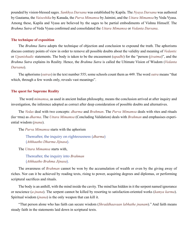pounded by vision-blessed sages. *[Sankhya Darsana](#page-56-3)* was established by [Kapila](#page-52-1). The *Nyaya Darsana* was authored by [Gautama,](#page-50-4) the *[Vaiseshika](#page-58-1)* by [Kanada](#page-52-2), the *[Purva Mimamsa](#page-55-1)* by [Jaimini](#page-51-4), and the *[Uttara Mimamsa](#page-58-2)* by [Veda Vyasa.](#page-59-3) Among these, [Kapila](#page-52-1) and [Vyasa](#page-60-1) are believed by the sages to be partial embodiments of [Vishnu](#page-59-4) Himself. The *[Brahma Sutra](#page-49-0)* of [Veda Vyasa](#page-59-3) confirmed and consolidated the *[Uttara Mimamsa](#page-58-2)* or *Vedanta Darsana*.

#### **The technique of exposition**

The *[Brahma Sutra](#page-49-0)* adopts the technique of objection and conclusion to expound the truth. The aphorisms discuss contrary points of view in order to remove all possible doubts about the validity and meaning of *[Vedantic](#page-59-5)* or *[Upanishadic](#page-58-3)* statements. The body is taken to be the encasement (*[upadhi](#page-58-4)*) for the "person (*[jivatma](#page-51-5)*)", and the *[Brahma Sutra](#page-49-0)* explains its Reality. Hence, the *[Brahma Sutra](#page-49-0)* is called the Ultimate Vision of Wisdom (*Vedanta Darsana*).

The aphorisms (*[sutras](#page-57-0)*) in the text number 555; some schools count them as 449. The word *[sutra](#page-57-0)* means "that which, through a few words only, reveals vast meanings".

#### **The quest for Supreme Reality**

 The word *mimamsa*, as used in ancient Indian philosophy, means the conclusion arrived at after inquiry and investigation, the inference adopted as correct after deep consideration of possible doubts and alternatives.

The *[Vedas](#page-59-2)* deal with two concepts: *[dharma](#page-50-0)* and *[Brahman](#page-49-1)*. The *[Purva Mimamsa](#page-55-1)* deals with rites and rituals (ka¬rma) as *[dharma](#page-50-0)*. The *[Uttara Mimamsa](#page-58-2)* (Concluding Validation) deals with *[Brahman](#page-49-1)* and emphasises experiential wisdom (*[jnana](#page-51-2)*).

The *[Purva Mimamsa](#page-55-1)* starts with the aphorism

Thereafter, the inquiry on righteousness (*[dharma](#page-50-0)*) (*Athhaatho Dharma Jijnasa*).

The *[Uttara Mimamsa](#page-58-2)* starts with,

Thereafter, the inquiry into *[Brahman](#page-49-1)* (*Athhaatho Brahma Jijnasa*).

The awareness of *[Brahman](#page-49-1)* cannot be won by the accumulation of wealth or even by the giving away of riches. Nor can it be achieved by reading texts, rising to power, acquiring degrees and diplomas, or performing scriptural sacrifices and rituals.

The body is an anthill, with the mind inside the cavity. The mind has hidden in it the serpent named ignorance or nescience (*[a-jnana](#page-47-1)*). The serpent cannot be killed by resorting to satisfaction-oriented works (*[kamya karma](#page-51-6)*). Spiritual wisdom (*[jnana](#page-51-2)*) is the only weapon that can kill it.

"That person alone who has faith can secure wisdom (*Shraddhaavaan labhathe jnanam*)." And faith means steady faith in the statements laid down in scriptural texts.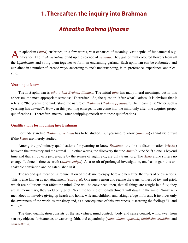## <span id="page-10-0"></span>**1. Thereafter, the inquiry into Brahman**

## *Athaatho Brahma jijnaasa*

An aphorism ([sutra](#page-57-0)) enshrines, in a few words, vast expanses of meaning, vast depths of fundamental sig-<br>Anificance. The [Brahma Sutras](#page-49-0) build up the science of [Vedanta](#page-59-0). They gather multicoloured flowers from all the *[Upanishads](#page-58-0)* and string them together to form an enchanting garland. Each aphorism can be elaborated and explained in a number of learned ways, according to one's understanding, faith, preference, experience, and pleasure.

#### **Yearning to know**

The first aphorism is *atha-athah-Brahma-jijnaasa*. The initial *atha* has many literal meanings, but in this aphorism, the most appropriate sense is: "Thereafter". So, the question "after what?" arises. It is obvious that it refers to "the yearning to understand the nature of *[Brahman](#page-49-1)* (*Brahma [jijnaasa](#page-51-7)*)". The meaning is: "After such a yearning has dawned". How can this yearning emerge? It can come into the mind only after one acquires proper qualifications. "Thereafter" means, "after equipping oneself with these qualifications".

#### **Qualifications for inquiring into Brahman**

For understanding *[Brahman](#page-49-1)*, *[Vedanta](#page-59-0)* has to be studied. But yearning to know (*[jijnaasa](#page-51-7)*) cannot yield fruit if the *[Vedas](#page-59-2)* are merely studied.

Among the preliminary qualifications for yearning to know *[Brahman](#page-49-1)*, the first is discrimination (*[viveka](#page-59-6)*) between the transitory and the eternal —in other words, the discovery that the *[Atma](#page-48-0)* (divine Self) alone is beyond time and that all objects perceivable by the senses of sight, etc., are only transitory. The *[Atma](#page-48-0)* alone suffers no change. It alone is timeless truth (*[nithya](#page-53-1) [sathya](#page-57-3)*). As a result of prolonged investigation, one has to gain this unshakable conviction and be established in it.

The second qualification is: renunciation of the desire to enjoy, here and hereafter, the fruits of one's actions. This is also known as nonattachment (*[vairagya](#page-58-5)*). One must reason and realise the transitoriness of joy and grief, which are pollutions that affect the mind. One will be convinced, then, that all things are caught in a flux; they are all momentary, they yield only grief. Next, the feeling of nonattachment will dawn in the mind. Nonattachment does not involve giving up hearth and home, wife and children, and taking refuge in forests. It involves only the awareness of the world as transitory and, as a consequence of this awareness, discarding the feelings "I" and "mine".

The third qualification consists of the six virtues: mind control, body and sense control, withdrawal from sensory objects, forbearance, unwavering faith, and equanimity (*[sama](#page-56-4)*, *[dama](#page-49-2)*, *[uparathi](#page-58-6)*, *[thithiksha](#page-58-7)*, *[sraddha](#page-57-4)*, and *[sama-dhana](#page-56-5)*).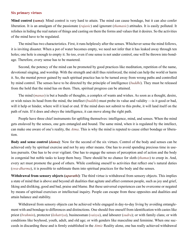#### **Six primary virtues**

**Mind control (***[sama](#page-56-4)***)**: Mind control is very hard to attain. The mind can cause bondage, but it can also confer liberation. It is an amalgam of the passionate (*[rajasic](#page-55-2)*) and ignorant (*[thamasic](#page-58-8)*) attitudes. It is easily polluted. It relishes in hiding the real nature of things and casting on them the forms and values that it desires. So the activities of the mind have to be regulated.

The mind has two characteristics. First, it runs helplessly after the senses. Whichever sense the mind follows, it is inviting disaster. When a pot of water becomes empty, we need not infer that it has leaked away through ten holes; one hole is enough to empty it. So too, even if one sense is not under control, one will be thrown into bondage. Therefore, every sense has to be mastered.

Second, the potency of the mind can be promoted by good practices like meditation, repetition of the name, devotional singing, and worship. With the strength and skill thus reinforced, the mind can help the world or harm it. So, the mental power gained by such spiritual practice has to be turned away from wrong paths and controlled by mind control. The senses have to be directed by the principle of intelligence (*[buddhi](#page-49-3)*). They must be released from the hold that the mind has on them. Then, spiritual progress can be attained.

The mind (*[manas](#page-53-2)*) is but a bundle of thoughts, a complex of wants and wishes. As soon as a thought, desire, or wish raises its head from the mind, the intellect (*[buddhi](#page-49-3)*) must probe its value and validity —is it good or bad, will it help or hinder, where will it lead or end. If the mind does not submit to this probe, it will land itself on the path of ruin. If it does and obeys the intelligence, it can move along the right path.

People have three chief instruments for uplifting themselves: intelligence, mind, and senses. When the mind gets enslaved by the senses, one gets entangled and bound. The same mind, when it is regulated by the intellect, can make one aware of one's reality, the *[Atma](#page-48-0)*. This is why the mind is reputed to cause either bondage or liberation.

**Body and sense control (***[dama](#page-49-2)***)**: Now for the second of the six virtues. Control of the body and senses can be achieved only by spiritual exercise and not by any other means. One has to avoid spending precious time in useless pursuits. One has to be ever vigilant. One has to engage the senses of perception and of action and the body in congenial but noble tasks to keep them busy. There should be no chance for sloth (*[thamas](#page-58-9)*) to creep in. And, every act must promote the good of others. While confining oneself to activities that reflect one's natural duties (*[swa-dharma](#page-57-5)*), it is possible to sublimate them into spiritual practices for the body and the senses.

**Withdrawal from sensory objects (***[uparathi](#page-58-6)***)**: The third virtue is withdrawal from sensory objects. This implies a state of mind that is above and beyond all dualities that agitate and affect common people, such as joy and grief, liking and disliking, good and bad, praise and blame. But these universal experiences can be overcome or negated by means of spiritual exercises or intellectual inquiry. People can escape from these opposites and dualities and attain balance and stability.

Withdrawal from sensory objects can be achieved while engaged in day-to-day living by avoiding entanglement with and bondage to differences and distinctions. One should free oneself from identification with [castes](#page-49-4) like priest (*[brahmin](#page-49-5)*), protector (*[kshatriya](#page-52-3)*), businessman (*[vaisya](#page-58-10)*), and labourer (*[sudra](#page-57-6)*); or with family clans; or with conditions like boyhood, youth, adult, and old age; or with genders like masculine and feminine. When one succeeds in discarding these and is firmly established in the *[Atmic](#page-48-2)* Reality alone, one has really achieved withdrawal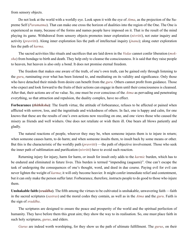from sensory objects.

Do not look at the world with a worldly eye. Look upon it with the eye of *[Atma](#page-48-0)*, as the projection of the Supreme Self (*[Paramatma](#page-54-0)*). That can make one cross the horizon of dualities into the region of the One. The One is experienced as many, because of the forms and names people have imposed on it. That is the result of the mind playing its game. Withdrawal from sensory objects promotes inner exploration (*[nivritti](#page-53-3)*), not outer inquiry and activity (*[pravritti](#page-55-3)*). Along inner exploration lies the path of intellectual inquiry (*[jnana](#page-51-2)*); along outer exploration lies the path of *[karma](#page-52-0)*.

The sacred activities like rituals and sacrifices that are laid down in the *[Vedas](#page-59-2)* cannot confer liberation (*[mok](#page-53-0)[sha](#page-53-0)*) from bondage to birth and death. They help only to cleanse the consciousness. It is said that they raise people to heaven, but heaven is also only a bond. It does not promise eternal freedom.

The freedom that makes one aware of the truth, of one's own truth, can be gained only through listening to the *[guru](#page-50-1)*, ruminating over what has been listened to, and meditating on its validity and significance. Only those who have detached their minds from desire can benefit from the *[guru](#page-50-1)*. Others cannot profit from guidance. Those who expect and look forward to the fruits of their actions can engage in them until their consciousness is cleansed. After that, their actions are of no value. So, one must be ever conscious of the *[Atma](#page-48-0)* as pervading and penetrating everything, so that attraction and repulsion, the duality complex, have no effect.

**Forbearance (***[thithiksha](#page-58-7)***)**: The fourth virtue, the attitude of forbearance, refuses to be affected or pained when afflicted with sorrow, loss, and the ingratitude and wickedness of others. In fact, one is happy and calm, for one knows that these are the results of one's own actions now recoiling on one, and one views those who caused the misery as friends and well wishers. One does not retaliate or wish them ill. One bears all blows patiently and gladly.

The natural reactions of people, whoever they may be, when someone injures them is to injure in return; when someone causes harm, to do harm; and when someone insults them, to insult back by some means or other. But this is the characteristic of the worldly path (*[pravritti](#page-55-3)*) —the path of objective involvement. Those who seek the inner path of sublimation and purification (*[nivritti](#page-53-3)*) have to avoid such reaction.

Returning injury for injury, harm for harm, or insult for insult only adds to the *[karmic](#page-52-4)* burden, which has to be endured and eliminated in future lives. This burden is termed "impending (aagaami)". One can't escape the task of undergoing the consequences of one's thought, word, and deed in due course. Paying evil for evil can never lighten the weight of *[karma](#page-52-0)*; it will only become heavier. It might confer immediate relief and contentment, but it can only make the person suffer later. Forbearance, therefore, instructs people to do good to those who injure them.

**Unshakable faith (***[sraddha](#page-57-4)***)**. The fifth among the virtues to be cultivated is unshakable, unwavering faith —faith in the sacred scriptures (*[sastras](#page-56-0)*) and the moral codes they contain, as well as in the *[Atma](#page-48-0)* and the *[guru](#page-50-1)*. Faith is the sign of *[sraddha](#page-57-4)*.

The scriptures are designed to ensure the peace and prosperity of the world and the spiritual perfection of humanity. They have before them this great aim; they show the way to its realisation. So, one must place faith in such holy scriptures, *[gurus](#page-50-1)*, and elders.

*[Gurus](#page-50-1)* are indeed worth worshiping, for they show us the path of ultimate fulfillment. The *[gurus](#page-50-1)*, on their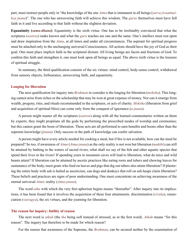part, must instruct people only in "the knowledge of the one *[Atma](#page-48-0)* that is immanent in all beings (*sarva jivaatmaikya jnana*)". The one who has unwavering faith will achieve this wisdom. The *[gurus](#page-50-1)* themselves must have full faith in it and live according to that faith without the slightest deviation.

**Equanimity (***[sama-dhana](#page-56-5)***)**: Equanimity is the sixth virtue. One has to be irrefutably convinced that what the scriptures (*[sastras](#page-56-0)*) make known and what the *[guru](#page-50-1)* teaches are one and the same. One's intellect must rest upon and draw inspiration from the *[Atma](#page-48-0)*, at all times and under all circumstances. The aspirant for spiritual progress must be attached only to the unchanging universal Consciousness. All actions should have the joy of God as their goal. One must place implicit faith in the scriptural dictum: All living beings are facets and fractions of God. To confirm this faith and strengthen it, one must look upon all beings as equal. The above sixth virtue is the treasure of spiritual struggle.

In summary, the third qualification consists of the six virtues: mind control, body-sense control, withdrawal from sensory objects, forbearance, unwavering faith, and equanimity.

#### **Longing for liberation**

The next qualification for inquiry into *[Brahman](#page-49-1)* to consider is the longing for liberation (*[moksha](#page-53-0)*). This longing cannot arise from riches or the scholarship that may be won at great expense of money. Nor can it emerge from wealth, progeny, rites, and rituals recommended in the scriptures, or acts of charity. *[Moksha](#page-53-0)* (liberation from grief and acquisition of spiritual bliss) can come only from the conquest of ignorance (*[a-jnana](#page-47-1)*).

A person might master all the scriptures (*[sastras](#page-56-0)*) along with all the learned commentaries written on them by experts; they might propitiate all the gods by performing the prescribed modes of worship and ceremonies; but this cannot grant the boon of liberation. These acts are all performed to earn benefits and boons other than the supreme knowledge (*[jnana](#page-51-2)*). Only success in the path of knowledge can confer salvation.

A person might have every article needed for cooking a meal, but if fire is not available, how can the meal be prepared? So too, if awareness of *[Atma](#page-48-0)* (*[Atma-jnana](#page-48-3)*) as the only reality is not won but liberation (*[mukthi](#page-53-4)*) can still be attained by bathing in the waters of sacred rivers, what shall we say of the fish and other aquatic species that spend their lives in the rivers! If spending years in mountain caves will lead to liberation, what do mice and wild beasts attain? If liberation can be attained by ascetic practices like eating roots and tubers and chewing leaves for sustenance of the body, must goats who feed on leaves and pigs that dig out tubers also attain liberation? If plastering the entire body with ash is hailed as asceticism, can dogs and donkeys that roll on ash heaps claim liberation? These beliefs and practices are signs of poor understanding. One must concentrate on achieving awareness of the eternal universal *[Atmic](#page-48-2)* reality (*[Atma-jnana](#page-48-3)*).

The word *atha* with which the very first aphorism begins means "thereafter". After inquiry into its implications, it has been found that it involves the acquisition of these four attainments: discrimination (*[viveka](#page-59-6)*), renunciation (*[vairagya](#page-58-5)*), the six virtues, and the yearning for liberation.

#### **The reason for inquiry: futility of reason**

The next word is *athah* (the *tha* being soft instead of stressed, as in the first word). *Athah* means "for this reason". The inquiry has therefore to be made for which reason?

For the reason that awareness of the Supreme, the *[Brahman](#page-49-1)*, can be secured neither by the examination of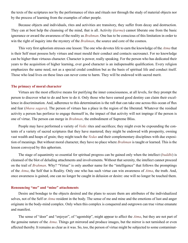the texts of the scriptures nor by the performance of rites and rituals nor through the study of material objects nor by the process of learning from the examples of other people.

Because objects and individuals, rites and activities are transitory, they suffer from decay and destruction. They can at best help the cleansing of the mind, that is all. Activity (*[karma](#page-52-0)*) cannot liberate one from the basic ignorance or award the awareness of the reality as *[Brahman](#page-49-1)*. One has to be conscious of this limitation in order to win the right of inquiry into the mystery of the *[Brahman](#page-49-1)*, the source and core of the cosmos.

This very first aphorism stresses one lesson: The one who devotes life to earn the knowledge of the *[Atma](#page-48-0)* that is their Self must possess holy virtues and must mould their conduct and contacts sacrosanct. For no knowledge can be higher than virtuous character. Character is power, really speaking. For the person who has dedicated their years to the acquisition of higher learning, ever good character is an indispensable qualification. Every religion emphasizes the same need, not as a special credal condition but as the basis of spiritual life and conduct itself. Those who lead lives on these lines can never come to harm. They will be endowed with sacred merit.

#### **The primacy of moral character**

Virtues are the most effective means for purifying the inner consciousness, at all levels, for they prompt the person to discover what to do and how to do it. Only those who have earned good destiny can claim their excellence in discrimination. And, adherence to this determination is the raft that can take one across this ocean of flux and fear (*[bhava sagara](#page-49-6)*). The person of virtues has a place in the region of the liberated. Whatever the residual activity a person has perforce to engage themself in, the impact of that activity will not impinge if the person is one of virtue. The person can merge in *[Brahman](#page-49-1)*, the embodiment of Supreme Bliss.

People may have performed a variety of *[Vedic](#page-59-1)* rites and sacrifices; they might even be expounding the contents of a variety of sacred scriptures that they have mastered; they might be endowed with prosperity, owning vast wealth and heaps of grain; they might teach the *[Vedas](#page-59-2)* and their complementary disciplines with due exposition of meanings. But without moral character, they have no place where *[Brahman](#page-49-1)* is taught or learned. This is the lesson conveyed by this aphorism.

The stage of equanimity so essential for spiritual progress can be gained only when the intellect (*[buddhi](#page-49-3)*) is cleansed of the blot of deluding attachments and involvements. Without that serenity, the intellect cannot proceed on the trail of *[Brahman](#page-49-1)*. Why? "Virtue" is only another name for the "intelligence" that follows the promptings of the *[Atma](#page-48-0)*, the Self that is Reality. Only one who has such virtue can win awareness of *[Atma](#page-48-0)*, the truth. And, once awareness is gained, one can no longer be caught in delusion or desire: one will no longer be touched them.

#### **Renouncing "me" and "mine" attachments**

Desire and bondage to the objects desired and the plans to secure them are attributes of the individualized selves, not of the Self or *[Atma](#page-48-0)* resident in the body. The sense of me and mine and the emotions of lust and anger originate in the body-mind complex. Only when this complex is conquered and outgrown can true virtue emanate and manifest.

The sense of "doer" and "enjoyer", of "agentship", might appear to affect the *[Atma](#page-48-0)*, but they are not part of the genuine nature of the *[Atma](#page-48-0)*. Things get mirrored and produce images, but the mirror is not tarnished or even affected thereby. It remains as clear as it was. So, too, the person of virtue might be subjected to some contaminat-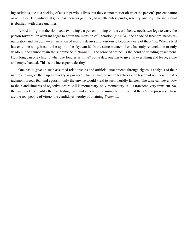ing activities due to a backlog of acts in previous lives, but they cannot mar or obstruct the person's present nature or activities. The individual (*[jivi](#page-51-8)*) has these as genuine, basic attributes: purity, serenity, and joy. The individual is ebullient with these qualities.

A bird in flight in the sky needs two wings; a person moving on the earth below needs two legs to carry the person forward; an aspirant eager to attain the mansion of liberation (*[moksha](#page-53-0)*), the abode of freedom, needs renunciation and wisdom —renunciation of worldly desires and wisdom to become aware of the *[Atma](#page-48-0)*. When a bird has only one wing, it can't rise up into the sky, can it? In the same manner, if one has only renunciation or only wisdom, one cannot attain the supreme Self, *[Brahman](#page-49-1)*. The sense of "mine" is the bond of deluding attachment. How long can one cling to what one fondles as mine? Some day, one has to give up everything and leave, alone and empty handed. This is the inescapable destiny.

One has to give up such assumed relationships and artificial attachments through rigorous analysis of their nature and —give them up as quickly as possible. This is what the world teaches as the lesson of renunciation. Attachment breeds fear and egotism; only the unwise would yield to such worldly fancies. The wise can never bow to the blandishments of objective desire. All is momentary, only momentary. All is transient, very transient. So, the wise seek to identify the everlasting truth and adhere to the immortal virtues that the *[Atma](#page-48-0)* represents. These are the real people of virtue, the candidates worthy of attaining *[Brahman](#page-49-1)*.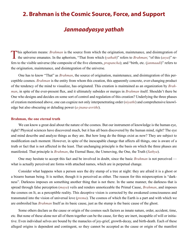## <span id="page-16-0"></span>**2. Brahman is the Cosmic Source, Force, and Support**

## *Janmaadyasya yathah*

This aphorism means: *[Brahman](#page-49-1)* is the source from which the origination, maintenance, and disintegration of the universe emanates. In the aphorism, "That from which (*yathah*)" refers to *Brahman*; "of this (*asya*)" refers to the visible universe (the composite of the five elements, *[prapancha](#page-54-1)*); and "birth, etc. (*janmaadi*)" refers to the origination, maintenance, and disintegration of the universe.

One has to know "That" as *[Brahman](#page-49-1)*, the source of origination, maintenance, and disintegration of this perceptible cosmos. *[Brahman](#page-49-1)* is the entity from whom this creation, this apparently concrete, ever-changing product of the tendency of the mind to visualize, has originated. This creation is maintained as an organization by *[Brah](#page-49-1)[man](#page-49-1)*, in spite of the ever-present flux, and it ultimately subsides or merges in *[Brahman](#page-49-1)* itself. Shouldn't there be One who designs and decides on some sort of control and regulation of this creation? Underlying the three phases of creation mentioned above, one can cognize not only interpenetrating order (*[niyathi](#page-54-2)*) and comprehensive knowledge but also obscuring or deluding power (*[a-jnana-avrithi](#page-47-3)*).

#### **Brahman, the one eternal truth**

We can know a great deal about the nature of the cosmos. But our instrument of knowledge is the human eye, right? Physical sciences have discovered much, but it has all been discovered by the human mind, right? The eye and mind describe and analyze things as they are. But how long do the things exist as now? They are subject to modification each moment. However, in spite of the inescapable change that affects all things, one is aware of a truth or fact that is not affected in the least. That unchanging principle is the basis on which the three phases are manifested. That principle is *[Brahman](#page-49-1)*, the Eternal Base, the Unmoving, the One, the Truth (*[Sathya](#page-57-3)*).

One may hesitate to accept this fact and be involved in doubt, since the basic *[Brahman](#page-49-1)* is not perceived what is actually perceived are forms with attached names, which are in perpetual change.

Consider what happens when a person sees the dry stump of a tree at night: they are afraid it is a ghost or a bizarre human being. It is neither, though it is perceived as either. The reason for this misperception is "darkness". Darkness imposes on something another thing that is not there. In the same manner, the darkness that is spread through false perception (*[maya](#page-53-5)*) veils and renders unnoticeable the Primal Cause, *[Brahman](#page-49-1)*, and imposes the cosmos on It, as a perceptible reality. This deceptive vision is corrected by the awakened consciousness and transmuted into the vision of universal love (*[prema](#page-55-4)*). The cosmos of which the Earth is a part and with which we are embroiled has *[Brahman](#page-49-1)* Itself as its basic cause, just as the stump is the basic cause of the ghost.

Some others declare as the cause or origin of the cosmos such factors as innate nature, order, accident, time, etc. But none of these alone nor all of them together can be the cause, for they are inert, incapable of will or initiative. Even individual selves are bound by the manacles of joy-grief, growth-decay, and birth-death. Each of these alleged origins is dependent and contingent, so they cannot be accepted as the cause or origin of the manifest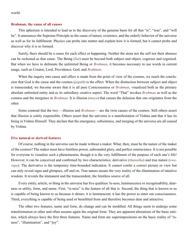world.

#### **Brahman, the cause of all causes**

This aphorism is intended to lead us to the discovery of the genuine basis for all that "is", "was", and "will be". It announces the Supreme Principle as the cause of nature, existence, and the orderly behavior of the universe as well as for its fulfillment. Physics can probe into matter and explain how it is formed, but it cannot probe and discover why it is so formed.

Surely, there should be a cause for each effect or happening. Neither the atom nor the self nor their absence can be reckoned as that cause. The Being (*[Sat](#page-57-7)*) must be beyond both subject and object, cognizer and cognized. But when we have to delineate the unlimited Being or *[Brahman](#page-49-1)*, it becomes necessary to use words in current usage, such as Creator, Lord, Providence, God, and *[Brahman](#page-49-1)*.

When the inquiry into cause and effect is made from the point of view of the cosmos, we reach the conclusion that God is the cause and the cosmos (*[jagath](#page-51-3)*) is the effect. When the distinction between subject and object is transcended, we become aware that it is all pure Consciousness or *[Brahman](#page-49-1)*, visualized both as the primary absolute unlimited entity and as its subsidiary creative aspect. The word "That" invokes *[Brahman](#page-49-1)* as well as the cosmos and the mergence in *[Brahman](#page-49-1)*. It is illusion (*[maya](#page-53-5)*) that causes the delusion that one originates from the other.

Some contend that the two —illusion and *[Brahman](#page-49-1)*— are the twin causes of the cosmos. Still others assert that illusion is solely responsible. Others assert that the universe is a manifestation of [Vishnu](#page-59-4) and that it has its being in [Vishnu](#page-59-4) Himself. They declare that the emergence, subsistence, and merging of the universe are all caused by [Vishnu.](#page-59-4)

#### **Five natural or derived features**

Of course, nothing in the universe can be made without a maker. What, then, must be the nature of the maker of the cosmos? The maker must have limitless power, unbounded glory, and perfect omniscience. It is not possible for everyone to visualize such a phenomenon, though it is the very fulfillment of the purpose of each one's life! However, it can be conceived and confirmed by two characteristics: derivative (*[thatastha](#page-58-11)*) and true nature (*[swa](#page-57-8)[rupa](#page-57-8)*). The derivative is the temporary time-bounded indication. It cannot confer a correct picture or view but can only reveal signs and glimpses, off and on. True nature means the very reality of the illumination of intuitive wisdom. It reveals the immanent and the transcendent, the limitless source of all.

Every entity, article, or thing in the universe has five qualities: Is-ness, luminescence or recognisability, dearness or utility, form, and name. First, "is-ness" is the feature of all that is. Second, the thing that is known to us is capable of being known to us because it shines; it is luminescent; it has the power to enter our consciousness. Third, everything is capable of being used or benefitted from and therefore becomes dear and attractive.

The other two features, name and form, do change and can be modified. All things seem to undergo some transformation or other and often assume again the original form. They are apparent alterations of the basic entities, which always have the first three features. Name and form are superimpositions on the basic reality of "isness", "illumination", and "joy".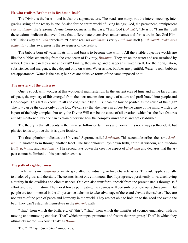#### **He who realises Brahman is Brahman Itself**

The Divine is the base —and is also the superstructure. The beads are many, but the interconnecting, integrating string of the rosary is one. So also for the entire world of living beings; God, the permanent, omnipresent *[Parabrahman](#page-54-3)*, the Supreme Divine Consciousness, is the base. "I am God (*[soham](#page-57-9)*)", "He is I", "I am that", all these axioms indicate that even those that differentiate themselves under names and forms are in fact God Himself. This is why the *[Vedas](#page-59-2)* proclaim, "He who realises *[Brahman](#page-49-1)* is verily *[Brahman](#page-49-1)* Itself (*Brahmavith Brahmaiva Bhavathi*)". This awareness is the awareness of the reality.

The bubble born of water floats in it and bursts to become one with it. All the visible objective worlds are like the bubbles emanating from the vast ocean of Divinity, *[Brahman](#page-49-1)*. They are on the water and are sustained by water. How else can they arise and exist? Finally, they merge and disappear in water itself. For their origination, subsistence, and mergence, they depend only on water. Water is one; bubbles are plentiful. Water is real; bubbles are appearances. Water is the basis; bubbles are delusive forms of the same imposed on it.

#### **The mystery of the universe**

One is struck with wonder at this wonderful manifestation. In the ancient eras of time and in the far corners of space, the mystery of life emerged from the inert unconscious tangle of nature and proliferated into people and God-people. This fact is known to all and cognizable by all. But can the low be posited as the cause of the high? The low can be the cause only of the low. We can say that the inert can at best be the cause of the mind, which also is part of the body complex, but only the Divine Will can be the cause of all creation, which has the five features already mentioned. No one can explain otherwise how the complex mind arose and got established .

The theory is that all events in the universe follow certain laws and norms. It is not always self-evident, but physics tends to prove that it is quite feasible.

The first aphorism indicates the Universal Supreme called *[Brahman](#page-49-1)*. This second describes the same *[Brah](#page-49-1)[man](#page-49-1)* in another form through another facet. The first aphorism lays down truth, spiritual wisdom, and freedom (*[sathya](#page-57-3)*, *[jnana](#page-51-2)*, and *[swa-tantra](#page-57-10)*). The second lays down the creative aspect of *[Brahman](#page-49-1)* and declares that the aspect cannot be limited to this particular cosmos.

#### **The path of righteousness**

Each has its own *[dharma](#page-50-0)* or innate specialty, individuality, or love characteristics. This rule applies equally to blades of grass and the stars. The cosmos is not one continuous flux. It progresses persistently toward achieving a totality in the qualities and circumstances. One can also transform oneself from the present status through self effort and discrimination. The moral forces permeating the cosmos will certainly promote our achievement. But people are too immersed in the all-pervasive delusion to take advantage of these and elevate themselves. They are not aware of the path of peace and harmony in the world. They are not able to hold on to the good and avoid the bad. They can't establish themselves in the *[dharmic](#page-50-5)* path.

"That" from which the birth, etc. of "this"; "That" from which the manifested cosmos emanated, with its moving and unmoving entities; "That" which prompts, promotes and fosters their progress; "That" in which they ultimately merge —know "That" as *[Brahman](#page-49-1)*.

The *[Taithiriya Upanishad](#page-57-11)* announces: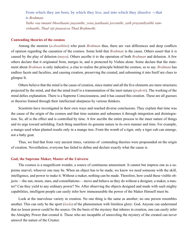From which they are born, by which they live, and into which they dissolve —that is *[Brahman](#page-49-1)*.

*Yatho vaa imaani bhoothaani jaayanthe, yena jaathaani jeevanthi, yath prayanthyabhi samvishanthi, Thad viji-jnaasasva Thad Brahmethi*.

#### **Contending theories of the cosmos**

Among the monists (*[a-dwaithins](#page-47-4)*) who posit *[Brahman](#page-49-1)* thus, there are vast differences and deep conflicts of opinion regarding the causation of the cosmos. Some hold that *[Brahman](#page-49-1)* is the cause. Others assert that it is caused by the play of delusion (*[maya](#page-53-5)*). Others ascribe it to the operation of both *[Brahman](#page-49-1)* and delusion. A few others declare that it originated from, merges in, and is protected by [Vishnu](#page-59-4) alone. Some declare that the statement about *[Brahman](#page-49-1)* is only indicative, a clue to realise the principle behind the cosmos, so to say. *[Brahman](#page-49-1)* has endless facets and faculties, and causing creation, preserving the created, and subsuming it into Itself are clues to glimpse It.

Others believe that the mind is the cause of creation, since matter and all the five elements are mere structures projected by the mind, and that the mind itself is a transmutation of the inert nature (*[prakriti](#page-54-4)*). The working of the mind defies explanation. There is a Supreme Consciousness, and it has caused this creation. These are all guesses or theories framed through their intellectual sharpness by various thinkers.

Scientists have investigated in their own ways and reached diverse conclusions. They explain that time was the cause of the origin of the cosmos and that time sustains and subsumes it through integration and disintegration. So, all is the effect and is controlled by time. A few ascribe the entire process to the inner nature of things and its urge toward unfolding. Each thing manifests its genuine nature in its own manner and time. For example, a mango seed when planted results only in a mango tree. From the womb of a tiger, only a tiger cub can emerge, not a baby goat.

Thus, we find that from very ancient times, varieties of contending theories were propounded on the origin of creation. Nevertheless, everyone has failed to define and declare exactly what the cause is.

#### **God, the Supreme Maker, Master of the Universe**

The cosmos is a magnificent wonder, a source of continuous amazement. It cannot but impress one as a supreme marvel, whoever one may be. When an object has to be made, we know we need someone with the skill, intelligence, and power to make it. Without a maker, nothing can be made. Therefore, how could these visible objects —the sun, moon, stars, and constellations— move and behave as they do without a designer, a maker, a master? Can they yield to any ordinary power? No. After observing the objects designed and made with such mighty capabilities, intelligent people can easily infer how immeasurable the power of the Maker Himself must be.

Look at the marvelous variety in creation. No one thing is the same as another; no one person resembles another. This can only be the sport (*[leela](#page-52-5)*) of the phenomenon with limitless glory: God. Anyone can understand that no lesser power could be the source. On the basis of the mystery that inheres in creation, one can easily infer the Almighty Power that created it. Those who are incapable of unraveling the mystery of the created can never unravel the nature of the Creator.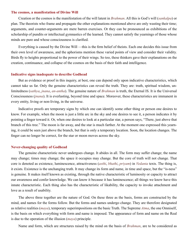#### **The cosmos, a manifestation of Divine Will**

Creation or the cosmos is the manifestation of the will latent in *[Brahman](#page-49-1)*. All this is God's will (*[sankalpa](#page-56-6)*) or plan. The theorists who frame and propagate the other explanations mentioned above are only wasting their time; arguments, and counter-arguments are mere barren exercises. Or they can be pronounced as exhibitions of the scholarship of pundits or intellectual gymnastics of the learned. They cannot satisfy the yearnings of those whose minds are pure and whose consciousness is clarified.

Everything is caused by the Divine Will —this is the firm belief of theists. Each one decides this issue from their own level of awareness, and the aphorisms mention these varied points of view and consider their validity. Birds fly to heights proportional to the power of their wings. So too, these thinkers gave their explanations on the creation, continuance, and collapse of the cosmos on the basis of their faith and intelligence.

#### **Indicative signs inadequate to describe Godhead**

But as evidence or proof in this inquiry, at best, one can depend only upon indicative characteristics, which cannot take us far. Only the genuine characteristics can reveal the truth. They are: truth, spiritual wisdom, unlimitedness (*[sathya](#page-57-3)*, *[jnana](#page-51-2)*, *[an-antha](#page-47-5)*). The genuine nature of *[Brahman](#page-49-1)* is truth, the Eternal IS. It is the Universal Consciousness (*[jnana](#page-51-2)*). It is everlasting, beyond time and space. Moreover, these characteristics are immanent in every entity, living or non-living, in the universe.

Indicative proofs are temporary signs by which one can identify some other thing or person one desires to know. For example, when the moon is just a little arc in the sky and one desires to see it, a person indicates it by pointing a finger toward it. Or, when one desires to look at a particular star, a person says, "There, just above that branch of this tree." The moon is far away, and the star is much farther. At the moment one expressed this yearning, it could be seen just above the branch, but that is only a temporary location. Soon, the location changes. The finger can no longer be correct, for the star or moon moves across the sky.

#### **Never-changing quality of Godhead**

The genuine characteristic never undergoes change. It abides in all. The form may suffer change; the name may change; times may change; the space it occupies may change. But the core of truth will not change. That core is denoted as existence, luminescence, attractiveness (*[asthi](#page-48-4)*, *bhathi*, *[priyam](#page-48-4)*) in *[Vedanta](#page-59-0)* texts. The thing is, it exists. Existence is the unchanging truth. It may change its form and name, in time and space, but the "is-ness" is genuine. It makes itself known as existing, through the native characteristic of luminosity or capacity to attract our awareness and confer knowledge. We can know it because it has luminescence; all things we know have this innate characteristic. Each thing also has the characteristic of likability, the capacity to invoke attachment and love as a result of usability.

The above three together are the nature of God. On these three as the basis, forms are constructed by the mind, and names for the forms follow. But the forms and names undergo change. They are therefore designated as relative realities (*[maya](#page-53-5)*), temporary superimpositions on the basic Truth. The Supreme *[Atma](#page-48-0)*, the one Omniself, is the basis on which everything with form and name is imposed. The appearance of form and name on the Real is due to the operation of the illusion (*[maya](#page-53-5)*) principle.

Name and form, which are structures raised by the mind on the basis of *[Brahman](#page-49-1)*, are to be considered as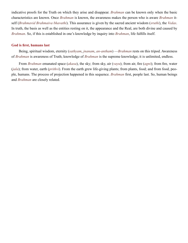indicative proofs for the Truth on which they arise and disappear. *[Brahman](#page-49-1)* can be known only when the basic characteristics are known. Once *[Brahman](#page-49-1)* is known, the awareness makes the person who is aware *[Brahman](#page-49-1)* itself (*Brahmavid Brahmaiva bhavathi*). This assurance is given by the sacred ancient wisdom (*[sruthi](#page-57-2)*), the *[Vedas](#page-59-2)*. In truth, the basis as well as the entities resting on it, the appearance and the Real, are both divine and caused by *[Brahman](#page-49-1)*. So, if this is established in one's knowledge by inquiry into *[Brahman](#page-49-1)*, life fulfills itself.

#### **God is first, humans last**

Being, spiritual wisdom, eternity (*[sathyam](#page-57-3)*, *[jnanam](#page-51-2)*, *[an-antham](#page-47-5)*) —*[Brahman](#page-49-1)* rests on this tripod. Awareness of *[Brahman](#page-49-1)* is awareness of Truth; knowledge of *[Brahman](#page-49-1)* is the supreme knowledge; it is unlimited, endless.

From *[Brahman](#page-49-1)* emanated space (*[akasa](#page-47-6)*), the sky; from sky, air (*[vayu](#page-59-7)*); from air, fire (*[agni](#page-47-7)*); from fire, water (*[jala](#page-51-9)*); from water, earth (*[prithvi](#page-55-5)*). From the earth grew life-giving plants; from plants, food; and from food, people, humans. The process of projection happened in this sequence. *[Brahman](#page-49-1)* first, people last. So, human beings and *[Brahman](#page-49-1)* are closely related.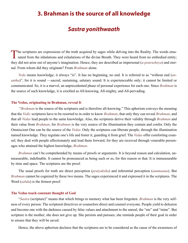# <span id="page-22-0"></span>**3. Brahman is the source of all knowledge**

## *Sastra yonithwaath*

The scriptures are expressions of the truth acquired by sages while delving into the Reality. The words ema-<br>nated from the inhalations and exhalations of the divine Breath. They were heard from no embodied entity; they did not arise out of anyone's imagination. Hence, they are described as impersonal (*[a-pourusheya](#page-48-5)*) and eternal. From whom did they originate? From *[Brahman](#page-49-1)* alone.

*[Veda](#page-59-8)* means knowledge; it always "is". It has no beginning, no end. It is referred to as "without end (*[an](#page-47-5)[antha](#page-47-5)*)", for it is sound —sacred, sustaining, salutary sound. It is experienceable only; it cannot be limited or communicated. So, it is a marvel, an unprecedented phase of personal experience for each one. Since *[Brahman](#page-49-1)* is the source of such knowledge, it is extolled as All-knowing, All-mighty, and All-pervading.

#### **The Vedas, originating in Brahman, reveal It**

 "*[Brahman](#page-49-1)* is the source of the scriptures and is therefore all-knowing." This aphorism conveys the meaning that the *[Vedic](#page-59-1)* scriptures have to be resorted to in order to know *[Brahman](#page-49-1)*, that only they can reveal *[Brahman](#page-49-1)*, and that all *[Vedas](#page-59-2)* lead people to the same knowledge. Also, the scriptures derive their validity through *[Brahman](#page-49-1)* and their value from *[Brahman](#page-49-1)*, for *[Brahman](#page-49-1)* is the very source of the illumination they contain and confer. Only the Omniscient One can be the source of the *[Vedas](#page-59-2)*. Only the scriptures can liberate people, through the illumination named knowledge. They regulate one's life and foster it, guarding it from grief. The *[Vedas](#page-59-2)* offer comforting counsel; they deal with people affectionately and lead them forward, for they are received through venerable personages who attained the highest knowledge, *[Brahman](#page-49-1)*.

*[Brahman](#page-49-1)* can't be comprehended by means of proofs or arguments. It is beyond reason and calculation, unmeasurable, indefinable. It cannot be pronounced as being such or so, for this reason or that. It is immeasurable by time and space. The scriptures are the proof.

The usual proofs for truth are direct perception (*[pratyaksha](#page-55-6)*) and inferential perception (*[anumaana](#page-48-6)*). But *[Brahman](#page-49-1)* cannot be cognized by these two means. The sages experienced it and expressed it in the scriptures. The Word (*[sabda](#page-56-7)*) is the firmest proof.

#### **The Vedas teach constant thought of God**

"*[Sastra](#page-56-0)* (scripture)" means that which brings to memory what has been forgotten. *[Brahman](#page-49-1)* is the very selfness of every person. The scriptural directives or counselors direct and counsel everyone. People yield to delusion and become one with the darkness caused by false values and attachment to the unreal, the "me" and "mine". But scripture is the mother; she does not give up. She persists and pursues; she reminds people of their goal in order to ensure that they will be saved.

Hence, the above aphorism declares that the scriptures are to be considered as the cause of the awareness of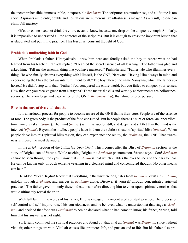the incomprehensible, immeasurable, inexpressible *[Brahman](#page-49-1)*. The scriptures are numberless, and a lifetime is too short. Aspirants are plenty; doubts and hesitations are numerous; steadfastness is meager. As a result, no one can claim full mastery.

Of course, one need not drink the entire ocean to know its taste; one drop on the tongue is enough. Similarly, it is impossible to understand all the contents of the scriptures. But it is enough to grasp the important lesson that is elaborated and put it into practice. This lesson is: constant thought of God.

#### **Prahlada's unflinching faith in God**

When [Prahlada](#page-54-5)'s father, [Hiranyakasipu](#page-51-10), drew him near and fondly asked the boy to repeat what he had learned from his teacher. [Prahlada](#page-54-5) replied, "I learned the secret essence of all learning." The father was glad and asked him, "Tell me the essential thing that you have mastered." [Prahlada](#page-54-5) said, "Father! He who illumines everything, He who finally absorbs everything with Himself, is the ONE, [Narayana](#page-53-6). Having Him always in mind and experiencing the bliss thereof awards fulfillment to all." The boy uttered the name [Narayana,](#page-53-6) which the father abhorred! He didn't stop with that. "Father! You conquered the entire world, but you failed to conquer your senses. How then can you receive grace from [Narayana?](#page-53-6) These material skills and worldly achievements are hollow possessions. The knowledge and experience of the ONE (*[Brahma-vidya](#page-49-7)*), that alone is to be pursued."

#### **Bliss is the core of five vital sheaths**

It is an arduous process for people to become aware of the ONE that is their core. People are of the essence of food. The gross body is the product of the food consumed. But in people there is a subtler force, an inner vibration named vital air (*[prana](#page-54-6)*). The mind (*[manas](#page-53-2)*) within is subtler still, and deeper and subtlet than the mind is the intellect (*[vijnana](#page-59-9)*). Beyond the intellect, people have in them the subtlest sheath of spiritual bliss (*[ananda](#page-47-2)*). When people delve into this spiritual bliss region, they can experience the reality, the *[Brahman](#page-49-1)*, the ONE. That awareness is indeed the most desirable.

In the *Brighu* section of the *[Taithiriya Upanishad](#page-57-11)*, which comes after the Bliss-of-*[Brahman](#page-49-1)* section, is the story of [Brighu,](#page-49-8) son of Varuna. While teaching [Brighu](#page-49-8) the *[Brahman](#page-49-1)* phenomenon, [Varuna](#page-59-10) says, "Son! *[Brahman](#page-49-1)* cannot be seen through the eyes. Know that *[Brahman](#page-49-1)* is that which enables the eyes to see and the ears to hear. He can be known only through extreme yearning in a cleansed mind and concentrated thought. No other means can help."

He added, "Dear [Brighu](#page-49-8)! Know that everything in the universe originates from *[Brahman](#page-49-1)*, exists in *[Brahman](#page-49-1)*, unfolds through *[Brahman](#page-49-1)*, and merges in *[Brahman](#page-49-1)* alone. Discover it yourself through concentrated spiritual practice." The father gave him only these indications, before directing him to enter upon spiritual exercises that would ultimately reveal the truth.

With full faith in the words of his father, [Brighu](#page-49-8) engaged in concentrated spiritual practice. The process of self-control and self-inquiry raised his consciousness, and he believed what he understood at that stage as *[Brah](#page-49-1)[man](#page-49-1)* and decided that food was *[Brahman](#page-49-1)*! When he declared what he had come to know, his father, [Varuna](#page-59-10), told him that his answer was not right.

So, [Brighu](#page-49-8) continued the spiritual practices and found out that vital air (*[prana](#page-54-6)*) was *[Brahman](#page-49-1)*, since without vital air, other things are vain. Vital air causes life, promotes life, and puts an end to life. But his father also pro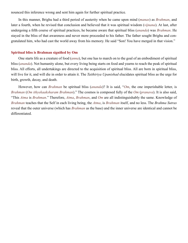nounced this inference wrong and sent him again for further spiritual practice.

In this manner, [Brighu](#page-49-8) had a third period of austerity when he came upon mind (*[manas](#page-53-2)*) as *[Brahman](#page-49-1)*, and later a fourth, when he revised that conclusion and believed that it was spiritual wisdom (*[vijnana](#page-59-9)*). At last, after undergoing a fifth course of spiritual practices, he became aware that spiritual bliss (*[ananda](#page-47-2)*) was *[Brahman](#page-49-1)*. He stayed in the bliss of that awareness and never more proceeded to his father. The father sought [Brighu](#page-49-8) and congratulated him, who had cast the world away from his memory. He said "Son! You have merged in that vision."

#### **Spiritual bliss is Brahman signified by Om**

One starts life as a creature of food (*[anna](#page-47-8)*), but one has to march on to the goal of an embodiment of spiritual bliss (*[ananda](#page-47-2)*). Not humanity alone, but every living being starts on food and yearns to reach the peak of spiritual bliss. All efforts, all undertakings are directed to the acquisition of spiritual bliss. All are born in spiritual bliss, will live for it, and will die in order to attain it. The *[Taithiriya Upanishad](#page-57-11)* elucidates spiritual bliss as the urge for birth, growth, decay, and death.

However, how can *[Brahman](#page-49-1)* be spiritual bliss (*[ananda](#page-47-2)*)? It is said, "*[Om](#page-54-7)*, the one imperishable letter, is *[Brahman](#page-49-1)* (*Om ithyekaaksharam Brahman*)." The cosmos is composed fully of the *[Om](#page-54-7)* (*[pranava](#page-54-8)*). It is also said, "This *[Atma](#page-48-0)* is *[Brahman](#page-49-1)*." Therefore, *[Atma](#page-48-0)*, *[Brahman](#page-49-1)*, and *[Om](#page-54-7)* are all indistinguishably the same. Knowledge of *[Brahman](#page-49-1)* teaches that the Self in each living being, the *[Atma](#page-48-0)*, is *[Brahman](#page-49-1)* itself, and no less. The *[Brahma Sutras](#page-49-0)* reveal that the outer universe (which has *[Brahman](#page-49-1)* as the base) and the inner universe are identical and cannot be differentiated.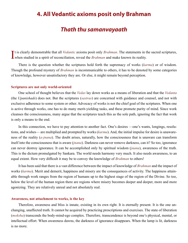## <span id="page-25-0"></span>**4. All Vedantic axioms posit only Brahman**

# *Thath thu samanvayaath*

It is clearly demonstrable that all *Vedantic* axioms posit only *[Brahman](#page-49-1)*. The statements in two when studied in a spirit of reconciliation, reveal the *Brahman* and make known its reality. t is clearly demonstrable that all *[Vedantic](#page-59-5)* axioms posit only *[Brahman](#page-49-1)*. The statements in the sacred scriptures,

There is the question whether the scriptures hold forth the supremacy of works (*[karma](#page-52-0)*) or of wisdom. Though the profound mystery of *[Brahman](#page-49-1)* is incommunicable to others, it has to be denoted by some categories of knowledge, however unsatisfactory they are. Or else, it might remain beyond perception.

#### **Scriptures are not only world-oriented**

One school of thought believes that the *[Vedas](#page-59-2)* lay down works as a means of liberation and that the *[Vedanta](#page-59-0)* (the *[Upanishads](#page-58-0)*) does not. But the scriptures (*[sastras](#page-56-0)*) are concerned with guidance and counsel, and not with exclusive adherence to some system or other. Advocacy of works is not the chief goal of the scriptures. When one is active through works, one has to do many merit-yielding tasks, and these promote purity of mind. Since work cleanses the consciousness, many argue that the scriptures teach this as the sole path, ignoring the fact that work is only a means to the end.

In this connection, we have to pay attention to another fact. One's desires —one's wants, longings, resolutions, and wishes— are multiplied and prompted by works (*[karma](#page-52-0)*). And, the initial impulse for desire is unawareness of the reality (*[a-jnana](#page-47-1)*). The doubt arises, naturally, how the consciousness that is unaware can transform itself into the consciousness that is aware (*[jnana](#page-51-2)*). Darkness can never remove darkness, can it? So too, ignorance can never destroy ignorance. It can be accomplished only by spiritual wisdom (*[jnana](#page-51-2)*), awareness of the truth. This is the dictum promulgated by [Sankara.](#page-56-8) The world needs harmony very much. It also needs awareness, to an equal extent. How very difficult it may be to convey the knowledge of *[Brahman](#page-49-1)* to others!

It has been said that there is a vast difference between the impact of knowledge of *[Brahman](#page-49-1)* and the impact of works (*[karma](#page-52-0)*). Merit and demerit, happiness and misery are the consequences of activity. The happiness attainable through work ranges from the region of humans up to the highest stage of the region of the Divine. So too, below the level of the human region there are regions where misery becomes deeper and deeper, more and more agonizing. They are relatively unreal and not absolutely real.

#### **Awareness, not attachment to works, is the key**

Therefore, awareness and bliss is innate, existing in its own right. It is eternally present. It is the one unchanging, unaffected truth. It cannot be acquired by practicing prescriptions and exercises. The state of liberation (*[moksha](#page-53-0)*) transcends the body-mind-ego complex. Therefore, transcendence is beyond one's physical, mental, or intellectual effort. When awareness dawns, the darkness of ignorance disappears. When the lamp is lit, darkness is no more.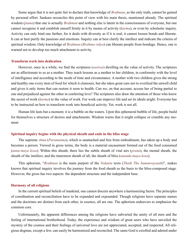Some argue that it is not quite fair to declare that knowledge of *[Brahman](#page-49-1)*, as the only truth, cannot be gained by personal effort. [Sankara](#page-56-8) reconciles this point of view with his main thesis, mentioned already. The spiritual wisdom (*[jnana](#page-51-2)*) that one is actually *[Brahman](#page-49-1)* and nothing else is latent in the consciousness of everyone, but one cannot recognise it and establish oneself firmly in it by means of activity (*[karma](#page-52-0)*), or even by scholastic inquiry. Activity can only bind one further, for it deals with diversity as if it is real; it cannot loosen bonds and liberate. It can at best purify the passions and emotions. Inquiry can at best clarify the intellect and indicate the criteria of spiritual wisdom. Only knowledge of *[Brahman](#page-49-1)* (*[Brahma-vidya](#page-49-7)*) can liberate people from bondage. Hence, one is warned not to develop too much attachment to activity.

#### **Transform work into dedication**

However, once in a while, we find the scriptures (*[sastras](#page-56-0)*) dwelling on the value of activity. The scriptures are as affectionate to us as a mother. They teach lessons as a mother to her children, in conformity with the level of intelligence and according to the needs of time and circumstance. A mother with two children gives the strong and healthy one every item of food for which it clamours, but she takes great care not to overfeed the unwell child and gives it only items that can restore it soon to health. Can we, on that account, accuse her of being partial to one and prejudiced against the other in conferring love? The scriptures also draw the attention of those who know the secret of work (*[karma](#page-52-0)*) to the value of work. For work can improve life and set its ideals aright. Everyone has to be instructed on how to transform work into beneficial activity. Yet, work is not all.

Human life lasts but a moment; it is a bubble on the waters. Upon this ephemeral bubble of life, people build for themselves a structure of desires and attachments. Wisdom warns that it might collapse or crumble any moment

#### **Spiritual inquiry begins with the physical sheath and ends in the bliss stage**

The supreme *[Atma](#page-48-0)* (*[Paramatma](#page-54-0)*), which is unattached and free from embodiment, has taken up a body and becomes a person. Viewed in gross terms, the body is a material encasement formed out of the food consumed (*[anna-maya kosa](#page-47-9)*). Within this sheath, there lies the subtle sheath of vital airs (*[prana](#page-54-6)*), the mental sheath, the sheath of the intellect, and the innermost sheath of all, the sheath of bliss (*[ananda-maya kosa](#page-47-9)*).

This aphorism, "*[Brahman](#page-49-1)* is the main purport of the *[Vedanta](#page-59-0)* texts (*Thath Thu Samanvayaath*)", makes known that spiritual inquiry involves the journey from the food sheath as the basis to the bliss-composed stage. However, the gross has two aspects: the dependent structure and the independent base.

#### **Harmony of all religions**

In the current spiritual beliefs of mankind, one cannot discern anywhere a harmonizing factor. The principles of coordination and reconciliation have to be expanded and expounded. Though religions have separate names and the doctrines are distinct from each other, in essence, all are one. The aphorism endeavors to emphasize the common core.

Unfortunately, the apparent differences among the religions have subverted the amity of all men and the feeling of international brotherhood. Today, the experience and wisdom of great seers who have unveiled the mystery of the cosmos and their feelings of universal love are not appreciated, accepted, and respected. All religious dogmas, except a few, can easily be harmonized and reconciled. The same God is extolled and adored under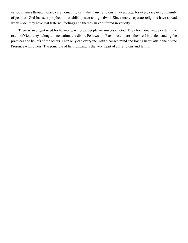various names through varied ceremonial rituals in the many religions. In every age, for every race or community of peoples, God has sent prophets to establish peace and goodwill. Since many separate religions have spread worldwide, they have lost fraternal feelings and thereby have suffered in validity.

There is an urgent need for harmony. All great people are images of God. They form one single [caste](#page-49-4) in the realm of God; they belong to one nation, the divine Fellowship. Each must interest themself in understanding the practices and beliefs of the others. Then only can everyone, with cleansed mind and loving heart, attain the divine Presence with others. The principle of harmonizing is the very heart of all religions and faiths.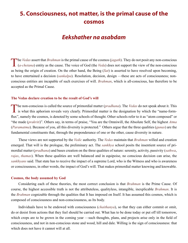# <span id="page-28-0"></span>**5. Consciousness, not matter, is the primal cause of the cosmos**

## *Eekshather na asabdam*

The [Vedas](#page-59-2) assert that [Brahman](#page-49-1) is the primal cause of the cosmos ([jagath](#page-51-3)). They do not posit any non-conscious ([a-chetana](#page-47-10)) entity as the cause. The voice of God (the [Veda](#page-59-8)) does not support the view of the non-conscious as being the origin of creation. On the other hand, the Being (*[Sat](#page-57-7)*) is asserted to have resolved upon becoming, to have entertained a decision (*[sankalpa](#page-56-6)*). Resolution, decision, design —these are acts of consciousness; nonconscious entities are incapable of such exercises of will. *[Brahman](#page-49-1)*, which is all-conscious, has therefore to be accepted as the Primal Cause.

#### **The Vedas declare creation to be the result of God's will**

The non-conscious is called the source of primordial matter ([pradhana](#page-54-9)). The [Vedas](#page-59-2) do not speak about it. This is what this aphorism reveals very clearly. Primordial matter is the designation by which the "name-formflux", namely the cosmos, is denoted by some schools of thought. Other schools refer to it as "atom composed" or "the made (*[prakriti](#page-54-4)*)". Others say, in terms of praise, "You are the Omniwill, the Absolute Self, the highest *[Atma](#page-48-0)* (*[Paramatma](#page-54-0)*). Because of you, all this diversity is protected." Others argue that the three qualities (*[gunas](#page-50-6)*) are the fundamental constituents that, through the preponderance of one or the other, cause diversity in nature.

These views are not supported by the *[Vedic](#page-59-1)* authority. The *[Vedas](#page-59-2)* maintain that *[Brahman](#page-49-1)* willed and creation emerged. That will is the prologue, the preliminary act. The *[sankhya](#page-56-9)* school posits the insentient source of primordial matter (*[pradhana](#page-54-9)*) and bases creation on the three qualities of nature: serenity, activity, passivity (*[sathwa](#page-57-12)*, *[rajas](#page-55-7)*, *[thamas](#page-58-9)*). When these qualities are well balanced and in equipoise, no conscious decision can arise, the *[sankhyans](#page-56-9)* said. That state has to receive the impact of a supreme Lord, who is the Witness and who is awareness or consciousness, in other words, the impact of God's will. That makes primordial matter knowing and knowable.

#### **Cosmos, the body assumed by God**

Considering each of these theories, the most correct conclusion is that *[Brahman](#page-49-1)* is the Prime Cause. Of course, the highest accessible truth is not the attributeless, qualityless, intangible, inexplicable *[Brahman](#page-49-1)*. It is the *[Brahman](#page-49-1)* cognizable through the qualities that It has imposed on Itself. It has assumed this cosmos, which is composed of consciousness and non-consciousness, as Its body.

Individuals have to be endowed with consciousness (*[chaithanya](#page-49-9)*), so that they can either commit or omit, do or desist from actions that they feel should be carried out. What has to be done today or put off till tomorrow, which crops are to be grown in the coming year —such thoughts, plans, and projects arise only in the field of consciousness, and not in non-conscious stone and wood, hill and dale. Willing is the sign of consciousness: that which does not have it cannot will at all.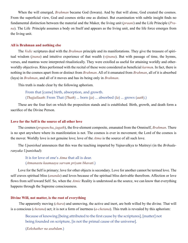When the will emerged, *[Brahman](#page-49-1)* became God [\(Iswara](#page-51-11)). And by that will alone, God created the cosmos. From the superficial view, God and cosmos strike one as distinct. But examination with subtle insight finds no fundamental distinction between the material and the Maker, the living unit (*[praani](#page-54-10)*) and the Life Principle (*[Pra](#page-54-6)[na](#page-54-6)*). The Life Principle assumes a body on Itself and appears as the living unit, and the life force emerges from the living unit.

#### **All is Brahman and nothing else**

The *[Vedic](#page-59-1)* scriptures deal with the *[Brahman](#page-49-1)* principle and its manifestations. They give the treasure of spiritual wisdom (*[jnana](#page-51-2)*) and intuitive experience of that wealth (*[vijnana](#page-59-9)*). But with passage of time, the hymns, verses, and mantras were interpreted ritualistically. They were extolled as useful for attaining worldly and otherworldly objectives. Rites performed with the recital of these were considered as beneficial *[karma](#page-52-0)*s. In fact, there is nothing in the cosmos apart from or distinct from *[Brahman](#page-49-1)*. All of it emanated from *[Brahman](#page-49-1)*, all of it is absorbed (laya) in *[Brahman](#page-49-1)*, and all of it moves and has its being only in *[Brahman](#page-49-1)*.

This truth is made clear by the following aphorism.

From that [came] birth, absorption, and growth. (*Thajjallaath*: From That (*Thath*) ... born (*ja*) ... absorbed (*la*) ... grows (*aath*).)

These are the four feet on which the proposition stands and is established. Birth, growth, and death form a sacrifice of the Divine Person.

#### **Love for the Self is the source of all other love**

The cosmos (*[prapancha](#page-54-1)*, *[jagath](#page-51-3)*), the five-element composite, emanated from the Omniself, *[Brahman](#page-49-1)*. There is no spot anywhere where its manifestation is not. The cosmos is ever in movement; the Lord of the cosmos is the mover. Worldly love is not genuine love; love of the *[Atma](#page-48-0)* is the source of all such love.

The *[Upanishad](#page-58-0)* announces that this was the teaching imparted by [Yajnavalkya](#page-60-2) to [Maitreyi](#page-53-7) (in the *[Brihada](#page-49-10)[ranyaka Upanishad](#page-49-10)*):

It is for love of one's *[Atma](#page-48-0)* that all is dear. (*Atmanastu kaamaaya sarvam priyam bhavati*.)

Love for the Self is primary; love for other objects is secondary. Love for another cannot be termed love. The self craves spiritual bliss (*[ananda](#page-47-2)*) and loves because of the spiritual bliss derivable therefrom. Affection or love flows from self toward Self. So, when the *[Atmic](#page-48-2)* Reality is understood as the source, we can know that everything happens through the Supreme consciousness.

#### **Divine Will, not matter, is the root of everything**

 The apparently moving (*[chara](#page-49-11)*) and unmoving, the active and inert, are both willed by the divine. That will is a conscious (*[chetana](#page-49-12)*) act; it is not a form of inertness (*[a-chetana](#page-47-10)*). This truth is revealed by this aphorism:

Because of knowing [being attributed to the first cause by the scriptures], [matter] not being founded on scripture, [is not the primal cause of the universe].

(*Eekshather na asabdam*.)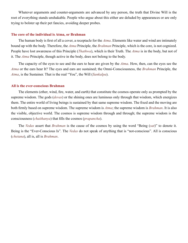Whatever arguments and counter-arguments are advanced by any person, the truth that Divine Will is the root of everything stands unshakable. People who argue about this either are deluded by appearances or are only trying to bolster up their pet fancies, avoiding deeper probes.

#### **The core of the individual is Atma, or Brahman**

The human body is first of all a cover, a receptacle for the *[Atma](#page-48-0)*. Elements like water and wind are intimately bound up with the body. Therefore, the *[Atma](#page-48-0)* Principle, the *[Brahman](#page-49-1)* Principle, which is the core, is not cognized. People have lost awareness of this Principle (*[Thathwa](#page-58-12)*), which is their Truth. The *[Atma](#page-48-0)* is in the body, but not of it. The *[Atma](#page-48-0)* Principle, though active in the body, does not belong to the body.

The capacity of the eyes to see and the ears to hear are given by the *[Atma](#page-48-0)*. How, then, can the eyes see the *[Atma](#page-48-0)* or the ears hear It? The eyes and ears are sustained; the Omni-Consciousness, the *[Brahman](#page-49-1)* Principle, the *[Atma](#page-48-0)*, is the Sustainer. That is the real "You", the Will (*S[ankalpa](#page-56-6)*).

#### **All is the ever-conscious Brahman**

The elements (ether, wind, fire, water, and earth) that constitute the cosmos operate only as prompted by the supreme wisdom. The gods (*[devas](#page-50-7)*) or the shining ones are luminous only through that wisdom, which energizes them. The entire world of living beings is sustained by that same supreme wisdom. The fixed and the moving are both firmly based on supreme wisdom. The supreme wisdom is *[Atma](#page-48-0)*; the supreme wisdom is *[Brahman](#page-49-1)*. It is also the visible, objective world. The cosmos is supreme wisdom through and through; the supreme wisdom is the consciousness (*[chaithanya](#page-49-9)*) that fills the cosmos (*[prapancha](#page-54-1)*).

The *[Vedas](#page-59-2)* assert that *[Brahman](#page-49-1)* is the cause of the cosmos by using the word "Being (*[sat](#page-57-7)*)" to denote it. Being is the "Ever-Conscious Is". The *[Vedas](#page-59-2)* do not speak of anything that is "not-conscious". All is conscious (*[chetana](#page-49-12)*), all is, all is *[Brahman](#page-49-1)*.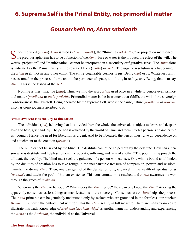## <span id="page-31-0"></span>**6. Supreme Self is the Primal Entity, not primordial matter**

## *Gounascheth na, Atma sabdaath*

Since the word (*[sabda](#page-56-7)*) *[Atma](#page-48-0)* is used (*Atma sabdaath*), the "thinking (*eekshathe*)" or projection mentioned in the previous aphorism has to be a function of the  $Atma$ . Fire or water is the product, the effect of the will. The words "projection" and "manifestation" cannot be interpreted in a secondary or figurative sense. The *[Atma](#page-48-0)* alone is indicated as the Primal Entity in the revealed texts (*[sruthi](#page-57-2)*) or *[Veda](#page-59-8)*. The urge or resolution is a happening in the *[Atma](#page-48-0)* itself, not in any other entity. The entire cognizable cosmos is just Being (*[sat](#page-57-7)*) or Is. Whatever form it has assumed in the process of time and in the perimeter of space, all of it is, in reality, only Being, that is to say, *[Atma](#page-48-0)*! This is the lesson of the *[Veda](#page-59-8)*.

Nothing is inert, inactive (*[jada](#page-51-12)*). Thus, we find the word *[Atma](#page-48-0)* used once in a while to denote even primordial matter (*[pradhana](#page-54-9)* or *mula*-*[prakriti](#page-53-8)*). Primordial matter is the instrument that fulfills the will of the sovereign Consciousness, the Overself. Being operated by the supreme Self, who is the cause, nature (*[pradhana](#page-54-9)* or *[prakriti](#page-54-4)*) also has consciousness ascribed to it.

#### **Atmic awareness is the key to liberation**

The individual (*[jivi](#page-51-8)*), believing that it is divided from the whole, the universal, is subject to desire and despair, love and hate, grief and joy. The person is attracted by the world of name and form. Such a person is characterized as "bound". Hence the need for liberation is urgent. And to be liberated, the person must give up dependence on and attachment to the creation (*[prakriti](#page-54-4)*).

The blind cannot be saved by the blind. The destitute cannot be helped out by the destitute. How can a person who is destitute and helpless remove the poverty, suffering, and pain of another? The poor must approach the affluent, the wealthy. The blind must seek the guidance of a person who can see. One who is bound and blinded by the dualities of creation has to take refuge in the inexhaustible treasure of compassion, power, and wisdom, namely, the divine *[Atma](#page-48-0)*. Then, one can get rid of the destitution of grief, revel in the wealth of spiritual bliss (*[ananda](#page-47-2)*), and attain the goal of human existence. This consummation is reached and *[Atmic](#page-48-2)* awareness is won through the grace of *[Brahman](#page-49-1)*.

Wherein is the *[Atma](#page-48-0)* to be sought? Where does the *[Atma](#page-48-0)* reside? How can one know the *[Atma](#page-48-0)*? Adoring the apparently consciousnessless things as manifestations of the sovereign Consciousness or *[Atma](#page-48-0)* helps the process. The *[Atma](#page-48-0)* principle can be genuinely understood only by seekers who are grounded in the formless, attributeless *[Brahman](#page-49-1)*. But even the embodiment with form has the *[Atmic](#page-48-2)* reality in full measure. There are many examples to illustrate this truth. Knowledge of *[Brahman](#page-49-1)* (*[Brahma-vidya](#page-49-7)*) is another name for understanding and experiencing the *[Atma](#page-48-0)* as the *[Brahman](#page-49-1)*, the individual as the Universal.

#### **The four stages of cognition**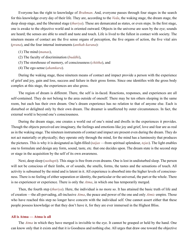Everyone has the right to knowledge of *[Brahman](#page-49-1)*. And, everyone passes through four stages in the search for this knowledge every day of their life. They are, according to the *[Veda](#page-59-8)*, the waking stage, the dream stage, the deep sleep stage, and the liberated stage (*[thuriya](#page-58-13)*). These are demarcated as states, or even steps. In the first stage, one is awake to the objective world and is oriented outward. Objects in the universe are seen by the eye; sounds are heard; the senses are able to smell and taste and touch. Life is lived to the fullest in contact with society. The nineteen means of contact are the five sense organs of perception, the five organs of action, the five vital airs (*[prana](#page-54-6)*), and the four internal instruments (*[anthah-karana](#page-48-7)*):

- (1) The mind (*[manas](#page-53-2)*),
- (2) The faculty of discrimination (*[buddhi](#page-49-3)*),
- (3) The storehouse of memory, of consciousness (*[chittha](#page-49-13)*), and
- (4) The ego-sense (*[ahamkara](#page-47-11)*).

During the waking stage, these nineteen means of contact and impact provide a person with the experience of grief and joy, gain and loss, success and failure in their gross forms. Since one identifies with the gross body complex at this stage, the experiences are also gross.

The region of dream is different. There, the self is in-faced. Reactions, responses, and experiences are all self-contained. They do not belong to the area outside of oneself. There may be ten others sleeping in the same room, but each has their own dream. One's dream experience has no relation to that of anyone else. Each is disturbed or delighted only by their own dream. The dreamer is unaffected by outer circumstances. In fact, the external world is beyond one's consciousness.

During the dream stage, one creates a world out of one's mind and dwells in the experiences it provides. Though the objects perceived are imaginary, the feelings and emotions like joy and grief, love and fear are as real as in the waking stage. The nineteen instruments of contact and impact are present even during the dream. They do not act materially or physically; they operate only through the mind, for the mind has a luminosity that produces the pictures. This is why it is designated as light-filled (*[taijas](#page-57-13)* —from spiritual splendour, *[tejas](#page-58-14)*). The light enables one to formulate and design any form, sound, taste, etc. that one decides upon. The dream state is the second step or stage in the acquisition by the self of its own awareness.

Next, deep sleep (*[sushupti](#page-57-14)*). This stage is free from even dreams. One is lost in undisturbed sleep. The person will not be conscious of their limbs, or of sounds, the smells, forms, the tastes and the sensations of touch. All activity is subsumed by the mind and is latent in it. All experience is absorbed into the higher levels of consciousness. There is no feeling of either separation or identity, the particular or the universal, the part or the whole. There is no experiencer or experience. There is only the *[Atma](#page-48-0)*, in which one has temporarily merged.

Then, the fourth step (*[thuriya](#page-58-13)*). Here, the individual is no more so. It has attained the basic truth of life and of creation —the all-pervading, all-inclusive *[Atma](#page-48-0)*, the peace and power of the one and only *[Atmic](#page-48-2)* empire. Those who have reached this step no longer have concern with the individual self. One cannot assert either that these people possess knowledge or that they don't have it, for they are ever immersed in the Highest Bliss.

#### **All is Atma — Atma is all**

The *[Atma](#page-48-0)* in which they have merged is invisible to the eye. It cannot be grasped or held by the hand. One can know only that it exists and that it is Goodness and nothing else. All urges that draw one toward the objective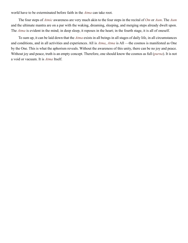world have to be exterminated before faith in the *[Atma](#page-48-0)* can take root.

The four steps of *[Atmic](#page-48-2)* awareness are very much akin to the four steps in the recital of *[Om](#page-54-7)* or *[Aum](#page-48-8)*. The *[Aum](#page-48-8)* and the ultimate mantra are on a par with the waking, dreaming, sleeping, and merging steps already dwelt upon. The *[Atma](#page-48-0)* is evident in the mind; in deep sleep, it reposes in the heart; in the fourth stage, it is all of oneself.

To sum up, it can be laid down that the *[Atma](#page-48-0)* exists in all beings in all stages of daily life, in all circumstances and conditions, and in all activities and experiences. All is *[Atma](#page-48-0)*, *[Atma](#page-48-0)* is All —the cosmos is manifested as One by the One. This is what the aphorism reveals. Without the awareness of this unity, there can be no joy and peace. Without joy and peace, truth is an empty concept. Therefore, one should know the cosmos as full (*[purna](#page-55-8)*). It is not a void or vacuum. It is *[Atma](#page-48-0)* Itself.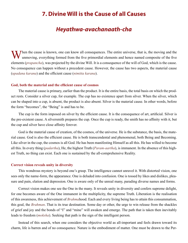## <span id="page-34-0"></span>**7. Divine Will is the Cause of all Causes**

## *Heyathwa-avachanaath-cha*

 $\sum$  hen the cause is known, one can know all consequences. The entire universe, that is, the moving and the unmoving, everything formed from the five primordial elements and hence named composite of the five elements (*[prapancha](#page-54-1)*), was projected by the divine Will. It is a consequence of the will of God, which is the cause. No consequence can happen without a precedent cause. However, the cause has two aspects, the material cause (*[upadana](#page-58-15) [karana](#page-52-6)*) and the efficient cause (*[nimitta](#page-53-9) [karana](#page-52-6)*).

#### **God, both the material and the efficient cause of cosmos**

The material cause is primary, earlier than the product. It is the entire basis, the total basis on which the product rests. Consider a silver cup, for example. The cup has no existence apart from silver. When the silver, which can be shaped into a cup, is absent, the product is also absent. Silver is the material cause. In other words, before the form "becomes", the "Being" is and has to be.

The cup is the form imposed on silver by the efficient cause. It is the consequence of art, artificial. Silver is the pre-existent cause. A silversmith prepares the cup. Once the cup is ready, the smith has no affinity with it, but the cup and silver have close affinity forever.

God is the material cause of creation, of the cosmos, of the universe. He is the substance, the basis, the material cause. God is also the efficient cause. He is both transcendental and phenomenal, both Being and Becoming. Like silver in the cup, the cosmos is all God. He has been manifesting Himself as all this. He has willed to become all this. In every thing (*[padartha](#page-54-11)*), He, the highest Truth (*[Param-aartha](#page-54-12)*), is immanent. In the absence of this highest Truth, no thing can exist. Each one is sustained by the all-comprehensive Reality.

#### **Correct vision reveals unity in diversity**

This wondrous mystery is beyond one's grasp. The intelligence cannot unravel it. With distorted vision, one sees only the name-form, the appearance. One is deluded into confusion. One is tossed by likes and dislikes, pleasure and pain, elation and depression. One is aware only of the unreal many, parading diverse names and forms.

Correct vision makes one see the One in the many. It reveals unity in diversity and confers supreme delight, for one becomes aware of the One immanent in the multiplicity, the supreme Truth. Liberation is the realisation of this awareness, this achievement of *Brahma*hood. Each and every living being has to attain this consummation, this goal, the *[Brahman](#page-49-1)*. That is its true destination. Some day or other, the urge to win release from the shackles of grief and joy and the bonds of "I" and "mine" will awaken and emerge. The path that is taken then inevitably leads to freedom (*[moksha](#page-53-0)*). Seeking that path is the sign of the intelligent person.

Instead of this search, when one considers the objective world as all-important and feels drawn toward its charm, life is barren and of no consequence. Nature is the embodiment of matter. One must be drawn to the Per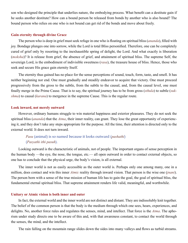son who designed the principle that underlies nature, the embodying process. What benefit can a destitute gain if he seeks another destitute? How can a bound person be released from bonds by another who is also bound? The bound person who relies on one who is not bound can get rid of the bonds and move about freely.

#### **Gain eternity through divine Grace**

The person who is deep in grief must seek refuge in one who is floating on spiritual bliss (*[ananda](#page-47-2)*), filled with joy. Bondage plunges one into sorrow, while the Lord is total Bliss personified. Therefore, one can be completely cured of grief only by resorting to the inexhaustible spring of delight, the Lord. And what exactly is liberation (*[moksha](#page-53-0)*)? It is release from grief, the absence of grief, and attainment of spiritual bliss. The supreme Self, the sovereign Lord, is the embodiment of indivisible sweetness (*[rasa](#page-55-9)*), the treasure house of bliss. Hence, those who seek and secure His grace gain eternity Itself.

The eternity thus gained has no place for the sense perceptions of sound, touch, form, taste, and smell. It has neither beginning nor end. One must gradually and steadily endeavor to acquire that victory. One must proceed progressively from the gross to the subtle, from the subtle to the causal, and, from the causal level, one must finally merge in the Prime Cause. That is to say, the spiritual journey has to be from gross (*[sthula](#page-57-15)*) to subtle (*[suk](#page-57-16)[shma](#page-57-16)*) to causal (*[karana](#page-52-6)*) to mergence in the supreme Cause. This is the regular route.

#### **Look inward, not merely outward**

However, ordinary humans struggle to win material happiness and exterior pleasures. They do not seek the spiritual bliss (*[ananda](#page-47-2)*) that the *[Atma](#page-48-0)*, their inner reality, can grant. They lose the great opportunity of experiencing it, and they don't take any steps appropriate for the purpose. All the time, their attention is directed only to the external world. It does not turn inward.

#### *Pasu* (animal) is so named because it looks outward (*pashathi*) (*Pasyathi ithi pasuh*).

Looking outward is the characteristic of animals, not of people. The important organs of sense perception in the human body —the eye, the nose, the tongue, etc.— all open outward in order to contact external objects, so one has to conclude that the physical urge, the body's vision, is all external.

The inner world is not as easily accessible as the outer world is. Perhaps only one among many, one in a million, does contact and win this inner *[Atmic](#page-48-2)* reality through inward vision. That person is the wise one (*[jnani](#page-51-13)*). The person born with a sense of the true mission of human life has to gain the goal, the goal of spiritual bliss, the fundamental eternal spiritual bliss. That supreme attainment renders life valid, meaningful, and worthwhile.

#### **Unitary or Atmic vision is both inner and outer**

In fact, the external world and the inner world are not distinct and distant. They are indissolubly knit together. The belief of the common person is that the body is the medium through which one sees, hears, experiences, and delights. No, another force rules and regulates the senses, mind, and intellect. That force is the *[Atma](#page-48-0)*. The aphorism under study directs one to be aware of this and, with that awareness constant, to contact the world through the senses, the mind, and the intellect.

The rain falling on the mountain range slides down the sides into many valleys and flows as turbid streams.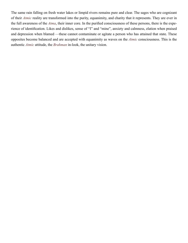The same rain falling on fresh water lakes or limpid rivers remains pure and clear. The sages who are cognizant of their *[Atmic](#page-48-2)* reality are transformed into the purity, equanimity, and charity that it represents. They are ever in the full awareness of the *[Atma](#page-48-0)*, their inner core. In the purified consciousness of these persons, there is the experience of identification. Likes and dislikes, sense of "I" and "mine", anxiety and calmness, elation when praised and depression when blamed —these cannot contaminate or agitate a person who has attained that state. These opposites become balanced and are accepted with equanimity as waves on the *[Atmic](#page-48-2)* consciousness. This is the authentic *[Atmic](#page-48-2)* attitude, the *[Brahman](#page-49-1)* in-look, the unitary vision.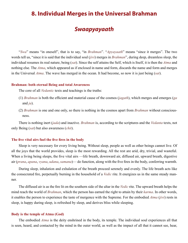## <span id="page-37-0"></span>**8. Individual Merges in the Universal Brahman**

## *Swaapyayaath*

"*Swa*" means "in oneself", that is to say, "in *[Brahman](#page-49-1)*". "*Apyayaath*" means "since it merges". The two words tell us, "since it is said that the individual soul (*[jivi](#page-51-8)*) merges in *[Brahman](#page-49-1)*", during deep, dreamless sleep, the individual resumes its real nature, being (*[sat](#page-57-7)*). Since the self attains the Self, which is Itself, it is then the *[Atma](#page-48-0)* and nothing else. The *[Atma](#page-48-0)*, which appeared as if enclosed in name and form, discards the name and form and merges in the Universal *[Atma](#page-48-0)*. The wave has merged in the ocean. It had become, so now it is just being (*[sat](#page-57-7)*).

#### **Brahman: both eternal Being and total Awareness**

The core of all *[Vedantic](#page-59-5)* texts and teachings is the truths:

- (1) *[Brahman](#page-49-1)* is both the efficient and material cause of the cosmos (*[jagath](#page-51-3)*), which merges and emerges (*ga* and *ja*).
- (2) *[Brahman](#page-49-1)* is one and one only, so there is nothing in the cosmos apart from *[Brahman](#page-49-1)* without consciousness.

There is nothing inert (*[jada](#page-51-12)*) and inactive. *[Brahman](#page-49-1)* is, according to the scriptures and the *[Vedanta](#page-59-0)* texts, not only Being (*[sat](#page-57-7)*) but also awareness (*[chit](#page-49-14)*).

#### **The five vital airs fuel the five fires in the body**

Sleep is very necessary for every living being. Without sleep, people as well as other beings cannot live. Of all the joys that the world provides, sleep is the most rewarding. All the rest are arid, dry, trivial, and wasteful. When a living being sleeps, the five vital airs —life breath, downward air, diffused air, upward breath, digestive air (*[prana](#page-54-6)*, *[apana](#page-48-9)*, *[vyana](#page-59-11)*, *[udana](#page-58-16)*, *[samana](#page-56-10)*)— do function, along with the five fires in the body, conferring warmth.

During sleep, inhalation and exhalation of the breath proceed serenely and evenly. The life breath acts like the consecrated fire, perpetually burning in the household of a *[Vedic](#page-59-1)* rite. It energizes us in the same steady manner.

The diffused air is as the fire lit on the southern side of the altar in the *[Vedic](#page-59-1)* rite. The upward breath helps the mind reach the world of *[Brahman](#page-49-1)*, which the person has earned the right to attain by their *[karma](#page-52-0)*. In other words, it enables the person to experience the taste of mergence with the Supreme. For the embodied *[Atma](#page-48-0)* (*[jivi](#page-51-8)*) rests in sleep, is happy during sleep, is refreshed by sleep, and derives bliss while sleeping.

#### **Body is the temple of Atma (God)**

The embodied *[Atma](#page-48-0)* is the deity enshrined in the body, its temple. The individual soul experiences all that is seen, heard, and contacted by the mind in the outer world, as well as the impact of all that it cannot see, hear,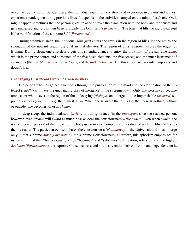or contact by the mind. Besides these, the individual soul might construct and experience in dreams and witness experiences undergone during previous lives. It depends on the activities stamped on the mind of each one. Or, it might happen sometimes that the person gives up at one stroke the association with the body and the senses and gets immersed and lost in their basic principle: the Omniself (*[Paramatma](#page-54-0)*). The bliss that fills the individual soul is the manifestation of the supreme Self (*[Paramatma](#page-54-0)*).

During dreamless sleep, the individual soul (*[jivi](#page-51-8)*) enters and revels in the region of bliss, led thereto by the splendour of the upward breath, the vital air that elevates. The region of bliss is known also as the region of [Brahma.](#page-49-15) During sleep, one effortlessly gets this splendid chance to enjoy the proximity of the supreme *[Atma](#page-48-0)*, which is the prime source and substance of the five basic elements, the five senses, and the inner instrument of awareness (the five *[bhuthas](#page-49-16)*, the five *[indriyas](#page-51-14)*, and the *[anthah-karana](#page-48-7)*). But this experience is quite temporary and doesn't last.

#### **Unchanging Bliss means Supreme Consciousness**

The person who has gained awareness through the purification of the mind and the clarification of the intellect (*[buddhi](#page-49-3)*) will have the unchanging bliss of mergence in the supreme *[Atma](#page-48-0)*. Only that person can become omniscient who is ever in the region of the undecaying (*[akshaya](#page-47-12)*) and merged in the imperishable (*[akshara](#page-47-13)*) supreme Vastness (*[Parabrahma](#page-54-3)*), the highest *[Atma](#page-48-0)*. When one is aware that all is He, that there is nothing without or outside, one becomes all or *[Brahman](#page-49-1)*.

In deep sleep, the individual soul (*[jivi](#page-51-8)*) is in dull ignorance (in the *[thamoguna](#page-58-17)*). To the realised person, however, even dreams will award as much bliss as does the consciousness while awake. Even when awake, the realised person gets rid of the impact of the body-sense-reason complex and is saturated with the bliss of his authentic reality. The particularized self shares the consciousness (*[chaithanya](#page-49-9)*) of the Universal, and it can merge only in that supreme *[Atma](#page-48-0)* (*[Paramatma](#page-54-0)*), the supreme Consciousness. Therefore, this aphorism emphasizes for us the truth that the "Is-ness (*[Sat](#page-57-7)*)", which "becomes" and "subsumes" all creation, refers only to the highest *[Brahman](#page-49-1)* (*[Parabrahman](#page-54-3)*), the supreme Consciousness, and not to any entity derived from it and dependent on it.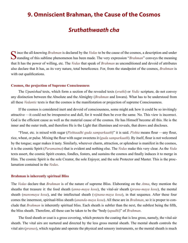# <span id="page-39-0"></span>**9. Omniscient Brahman, the Cause of the Cosmos**

## *Sruthathwaath cha*

Since the all-knowing *[Brahman](#page-49-1)* is declared by the *[Vedas](#page-59-2)* to be the cause of the cosmos, a description and under standing of this sublime phenomenon has been made. The very expression "*Brahman*" conveys the meaning that It has the power of willing, etc. The *[Vedas](#page-59-2)* that speak of *[Brahman](#page-49-1)* as unconditioned and devoid of attributes also declare that It has, as its very nature, total beneficence. For, from the standpoint of the cosmos, *[Brahman](#page-49-1)* is with out qualifications.

#### **Cosmos, the projection of Supreme Consciousness**

The *[Upanishad](#page-58-0)* texts, which form a section of the revealed texts (*[sruthi](#page-57-2)*) or *[Vedic](#page-59-1)* scripture, do not convey any distinction between the Absolute and the Almighty (*[Brahman](#page-49-1)* and [Iswara\)](#page-51-11). What has to be understood from all these *[Vedantic](#page-59-5)* texts is that the cosmos is the manifestation or projection of supreme Consciousness.

If the cosmos is considered inert and devoid of consciousness, some might ask how it could be so invitingly attractive —it could not be irresponsive and dull, for it would then be ever the same. No. This view is incorrect. God is the efficient cause as well as the material cause of the cosmos. He has Himself become all this. He is the inner and the outer truth, and therefore He is the Light that illumines and reveals, that draws and discloses.

"Flour, etc. is mixed with sugar (*Pishtaadhi guda samparkaath*)" it is said. *Pishta* means flour —any flour, rice, wheat, or pulse. Mixing the flour with sugar sweetens it (*guda samparkaath*). By itself, flour is not welcomed by the tongue; sugar makes it tasty. Similarly, wherever charm, attraction, or splendour is manifest in the cosmos, it is the cosmic Spirit (*[Paramatma](#page-54-0)*) that is evident and nothing else. The *[Vedas](#page-59-2)* make this very clear. As the *[Veda](#page-59-8)* texts assert, the cosmic Spirit creates, fondles, fosters, and sustains the cosmos and finally induces it to merge in Him. The cosmic Spirit is the sole Creator, the sole Enjoyer, and the sole Protector and Master. This is the proclamation contained in the *[Vedas](#page-59-2)*.

#### **Brahman is inherently spiritual Bliss**

The *[Vedas](#page-59-2)* declare that *[Brahman](#page-49-1)* is of the nature of supreme Bliss. Elaborating on the *[Atma](#page-48-0)*, they mention the sheaths that treasure it: the food sheath (*[anna-maya kosa](#page-47-9)*), the vital-air sheath (*[prana-maya kosa](#page-54-13)*), the mental sheath (*[manomaya kosa](#page-53-10)*), and the intellectual sheath (*[vijnana-maya kosa](#page-59-12)*), in that sequence. After these four comes the innermost, spiritual-bliss sheath (*[ananda-maya kosa](#page-47-9)*). All these are in *[Brahman](#page-49-1)*, so it is proper to conclude that *[Brahman](#page-49-1)* is inherently spiritual bliss. Each sheath is subtler than the next, the subtlest being the fifth, the bliss sheath. Therefore, all these can be taken to be the "body (*[upadhi](#page-58-4)*)" of *[Brahman](#page-49-1)*.

The food sheath or coat is a gross covering, which protects the coating that is less gross, namely, the vital-air sheath. The vital airs are nurtured and directed by the less gross mental sheath. The mental sheath controls the vital airs (*[pranas](#page-54-6)*), which regulate and operate the physical and sensory instruments, so the mental sheath is much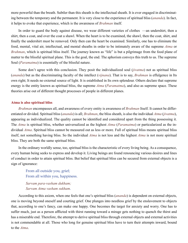more powerful than the breath. Subtler than this sheath is the intellectual sheath. It is ever engaged in discriminating between the temporary and the permanent. It is very close to the experience of spiritual bliss (*[ananda](#page-47-2)*). In fact, it helps to evoke that experience, which is the awareness of *[Brahman](#page-49-1)* itself.

In order to guard the body against disease, we wear different varieties of clothes —an undershirt, then a shirt, then a coat, and over the coat a shawl. When the heart is to be examined, the shawl, then the coat, shirt, and finally the undershirt must be removed. Only then can the heart be examined. Similarly, one has to eliminate the food, mental, vital air, intellectual, and mental sheaths in order to be intimately aware of the supreme *[Atma](#page-48-0)* or *[Brahman](#page-49-1)*, which is spiritual bliss itself. The journey known as "life" is but a pilgrimage from the food plane of matter to the blissful spiritual plane. This is the goal, the end. The aphorism conveys this truth to us. The supreme Soul (*[Paramatma](#page-54-0)*) is essentially of the blissful nature.

Some don't agree with this conclusion. They posit the individualized soul (*[jivatma](#page-51-5)*) not as spiritual bliss (*[ananda](#page-47-2)*) but as the discriminating faculty of the intellect (*[vijnana](#page-59-9)*). That is to say, *[Brahman](#page-49-1)* is effulgence in Its own right; It needs no external source of light. It is established in Its own splendour. Others declare that supreme energy is the entity known as spiritual bliss, the supreme *[Atma](#page-48-0)* (*[Paramatma](#page-54-0)*), and also as supreme space. These theories arise out of different thought processes of people in different planes.

#### **Atma is also spiritual bliss**

*[Brahman](#page-49-1)* encompasses all, and awareness of every entity is awareness of *[Brahman](#page-49-1)* Itself. It cannot be differentiated or divided. Spiritual bliss (*[ananda](#page-47-2)*) is all; *[Brahman](#page-49-1)*, the bliss sheath, is also the individual *[Atma](#page-48-0)* (*[jivatma](#page-51-5)*), appearing as individualized. The quality cannot be identified and considered apart from the thing possessing it. The *[Atma](#page-48-0)* is spiritual bliss, whether universalized as the highest *[Atma](#page-48-0)* (*[Paramatma](#page-54-0)*) or particularized as the individual *[Atma](#page-48-0)*. Spiritual bliss cannot be measured out as less or more. Full of spiritual bliss means spiritual bliss itself, not something having bliss. So the individual *[Atma](#page-48-0)* is not less and the highest *[Atma](#page-48-0)* is not more spiritual bliss. They are both the same spiritual bliss.

In the ordinary worldly sense, too, spiritual bliss is the characteristic of every living being. As a consequence, every human being seeks to express and develop it. Living beings are found renouncing various desires and lines of conduct in order to attain spiritual bliss. But belief that spiritual bliss can be secured from external objects is a sign of ignorance:

From all outside you, grief; From all within you, happiness.

*Sarvam para-vasham dukham; Sarvam Atma vasham sukham*.

According to this axiom, when one feels that one's spiritual bliss (*[ananda](#page-47-2)*) is dependent on external objects, one is moving beyond oneself and courting grief. One plunges into needless grief by the enslavement to objects that, according to one's fancy, can make one happy. One becomes the target for anxiety and worry. One has to suffer much, just as a person afflicted with thirst running toward a mirage gets nothing to quench the thirst and has a miserable end. Therefore, the attempt to derive spiritual bliss through external objects and external activities is not commendable at all. Those who long for genuine spiritual bliss have to turn their attempts inward, bound to the *[Atma](#page-48-0)*.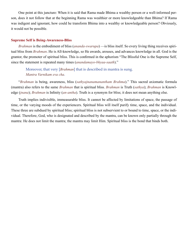One point at this juncture: When it is said that Rama made Bhima a wealthy person or a well-informed person, does it not follow that at the beginning Rama was wealthier or more knowledgeable than Bhima? If Rama was indigent and ignorant, how could he transform Bhima into a wealthy or knowledgeable person? Obviously, it would not be possible.

#### **Supreme Self is Being-Awareness-Bliss**

*[Brahman](#page-49-1)* is the embodiment of bliss (*[ananda-swarupa](#page-47-14)*) —is bliss itself. So every living thing receives spiritual bliss from *[Brahman](#page-49-1)*. He is All-knowledge, so He awards, arouses, and advances knowledge in all. God is the grantor, the promoter of spiritual bliss. This is confirmed in the aphorism "The Blissful One is the Supreme Self, since the statement is repeated many times (*anandamayo-bhyaa-saath*)."

Moreover, that very [*[Brahman](#page-49-1)*] that is described in mantra is sung. *Mantra Varnikam eva cha*.

"*[Brahman](#page-49-1)* is being, awareness, bliss (*sathyajnanamanantham Brahma*)." This sacred axiomatic formula (mantra) also refers to the same *[Brahman](#page-49-1)* that is spiritual bliss. *[Brahman](#page-49-1)* is Truth (*[sathya](#page-57-3)*); *[Brahman](#page-49-1)* is Knowledge (*[jnana](#page-51-2)*); *[Brahman](#page-49-1)* is Infinity (*[an-antha](#page-47-5)*). Truth is a synonym for bliss; it does not mean anything else.

Truth implies indivisible, immeasurable bliss. It cannot be affected by limitations of space, the passage of time, or the varying moods of the experiencers. Spiritual bliss will itself purify time, space, and the individual. These three are subdued by spiritual bliss; spiritual bliss is not subservient to or bound to time, space, or the individual. Therefore, God, who is designated and described by the mantra, can be known only partially through the mantra: He does not limit the mantra; the mantra may limit Him. Spiritual bliss is the bond that binds both.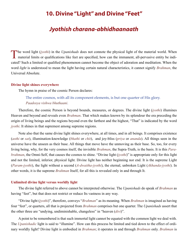## <span id="page-42-0"></span>**10. Divine "Light" and Divine "Feet"**

## *Jyothish charana-abhidhaanaath*

The word light ([jyothi](#page-51-15)) in the [Upanishads](#page-58-0) does not connote the physical light of the material world. When material limits or qualifications like feet are specified, how can the immanent, all-pervasive entity be indicated? Such a limited or qualified phenomenon cannot become the object of adoration and meditation. When the word *light* is understood to mean the light having certain natural characteristics, it cannot signify *[Brahman](#page-49-1)*, the Universal Absolute.

#### **Divine light shines everywhere**

The hymn in praise of the cosmic Person declares:

The entire cosmos, with all its component elements, is but one quarter of His glory. *Paadosya vishwa bhuthaani*.

Therefore, the cosmic Person is beyond bounds, measures, or degrees. The divine light (*[jyothi](#page-51-15)*) illumines Heaven and beyond and reveals even *[Brahman](#page-49-1)*. That which makes known by its splendour the era preceding the origin of living beings and the regions beyond even the farthest and the highest, "That" is indicated by the word *[jyothi](#page-51-15)*. It shines in that supremest among supreme regions.

Note also that the same divine light shines everywhere, at all times, and in all beings. It comprises existence (*[asthi](#page-48-10)* or *[sat](#page-57-7)*), illumination-knowledge (*[bhathi](#page-49-17)* or *[chit](#page-49-14)*), and joy-bliss (*[priya](#page-55-10)* or *[ananda](#page-47-2)*). All things seen in the universe have the unseen as their base. All things that move have the unmoving as their base. So, too, for every living being, why, for the very cosmos itself, the invisible *[Brahman](#page-49-1)*, the Supra-Truth, is the basis. It is this *[Para](#page-54-3)[brahman](#page-54-3)*, the Omni-Self, that causes the cosmos to shine. "Divine light (*[jyothi](#page-51-15)*)" is appropriate only for this light and not the limited, inferior, physical light. Divine light has neither beginning nor end. It is the supreme Light (*[Param-jyothi](#page-54-14)*), the light without a second (*[A-dwaitha-jyothi](#page-47-15)*), the eternal, unbroken Light (*[Akhanda-jyothi](#page-47-16)*). In other words, it is the supreme *[Brahman](#page-49-1)* Itself, for all this is revealed only in and through It.

#### **Unlimited divine light versus worldly light**

The divine light referred to above cannot be interpreted otherwise. The *[Upanishads](#page-58-0)* do speak of *[Brahman](#page-49-1)* as having "feet", but that does not restrict or reduce Its vastness in any way.

"Divine light (*[jyothi](#page-51-15)*)", therefore, conveys "*[Brahman](#page-49-1)*" as its meaning. When *[Brahman](#page-49-1)* is imagined as having four "feet", or quarters, all that is projected from *[Brahman](#page-49-1)* comprises but one quarter. The *[Upanishads](#page-58-0)* assert that the other three are "undying, undiminishable, changeless" in "heaven (*[divi](#page-50-8)*)".

A point to be remembered is that such immortal light cannot be equated with the common light we deal with. The *[Upanishadic](#page-58-3)* light is said to "illumine". How can this process be limited and tied down to the effect of ordinary worldly light? Divine light is embodied in *[Brahman](#page-49-1)*; it operates in and through *[Brahman](#page-49-1)* only. *[Brahman](#page-49-1)* is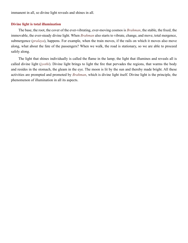immanent in all, so divine light reveals and shines in all.

#### **Divine light is total illumination**

The base, the root, the cover of the ever-vibrating, ever-moving cosmos is *[Brahman](#page-49-1)*, the stable, the fixed, the immovable, the ever-steady divine light. When *[Brahman](#page-49-1)* also starts to vibrate, change, and move, total mergence, submergence (*[pralaya](#page-54-15)*), happens. For example, when the train moves, if the rails on which it moves also move along, what about the fate of the passengers? When we walk, the road is stationary, so we are able to proceed safely along.

The light that shines individually is called the flame in the lamp; the light that illumines and reveals all is called divine light (*[jyothi](#page-51-15)*). Divine light brings to light the fire that pervades the regions, that warms the body and resides in the stomach, the gleam in the eye. The moon is lit by the sun and thereby made bright. All these activities are prompted and promoted by *[Brahman](#page-49-1)*, which is divine light itself. Divine light is the principle, the phenomenon of illumination in all its aspects.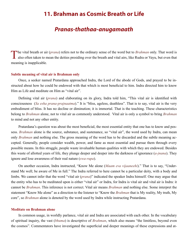# <span id="page-44-0"></span>**11. Brahman as Cosmic Breath or Life**

# *Pranas-thathaa-anugamaath*

The vital breath or air (*[prana](#page-54-6)*) refers not to the ordinary sense of the word but to *[Brahman](#page-49-1)* only. That word is  $\mathsf L$  also often taken to mean the deities presiding over the breath and vital airs, like [Rudra](#page-55-11) or [Vayu,](#page-59-13) but even that meaning is inapplicable.

#### **Subtle meaning of vital air is Brahman only**

Once, a seeker named Pratardana approached [Indra,](#page-51-16) the Lord of the abode of Gods, and prayed to be instructed about how he could be endowed with that which is most beneficial to him. [Indra](#page-51-16) directed him to know Him as Life and meditate on Him as "vital air".

Defining vital air (*[prana](#page-54-6)*) and elaborating on its glory, [Indra](#page-51-16) told him, "This vital air is identified with consciousness (*Sa esha prana-prajnaatma*)." It is "bliss, ageless, deathless". That is to say, vital air is the very embodiment of bliss. It has no decline or diminution; it is immortal. That is the teaching. These characteristics belong to *[Brahman](#page-49-1)* alone, not to vital air as commonly understood. Vital air is only a symbol to bring *[Brahman](#page-49-1)* to mind and not any other entity.

Pratardana's question was about the most beneficial, the most essential entity that one has to know and possess. *[Brahman](#page-49-1)* alone is the source, substance, and sustenance, so "vital air", the word used by [Indra](#page-51-16), can mean only *[Brahman](#page-49-1)* and nothing else. The gross meaning of the word has to be discarded and the subtle meaning accepted. Generally, people consider wealth, power, and fame as most essential and pursue them through every possible means. In this struggle, people waste invaluable human qualities with which they are endowed. Besides this waste of allotted years of life, they plunge deeper and deeper into the darkness of ignorance (*[a-jnana](#page-47-1)*). They ignore and lose awareness of their real nature (*[swa-rupa](#page-57-8)*).

On another occasion, [Indra](#page-51-16) instructed, "Know Me alone (*Maam eva vijaaneehi*)." That is to say, "Understand Me well; be aware of Me in full." The [Indra](#page-51-16) referred to here cannot be a particular deity, with a body and limbs. We cannot infer that the word "vital air (*[prana](#page-54-6)*)" indicated the speaker [Indra](#page-51-16) himself. One may argue that the entity who has to be meditated upon is either "vital air" or [Indra,](#page-51-16) for [Indra](#page-51-16) is vital air and vital air is [Indra:](#page-51-16) it cannot be *[Brahman](#page-49-1)*. This inference is not correct. Vital air means *[Brahman](#page-49-1)* and nothing else. Some interpret the statement "Know Me alone" as a direction to the listener to "Know the *[Brahman](#page-49-1)* that is My reality, My truth, My core", so *[Brahman](#page-49-1)* alone is denoted by the word used by [Indra](#page-51-16) while instructing Pratardana.

#### **Meditate on Brahman alone**

In common usage, in worldly parlance, vital air and [Indra](#page-51-16) are associated with each other. In the vocabulary of spiritual inquiry, the vast (*[bhuma](#page-49-18)*) is descriptive of *[Brahman](#page-49-1)*, which also means "the limitless, beyond even the cosmos". Commentators have investigated the superficial and deeper meanings of these expressions and at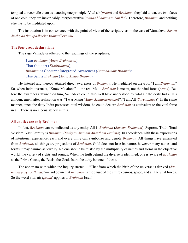tempted to reconcile them as denoting one principle. Vital air (*[prana](#page-54-6)*) and *[Brahman](#page-49-1)*, they laid down, are two faces of one coin; they are inextricably interpenetrative (*avinaa bhaava sambandha*). Therefore, *[Brahman](#page-49-1)* and nothing else has to be meditated upon.

The instruction is in consonance with the point of view of the scripture, as in the case of [Vamadeva:](#page-58-18) *Sastra drishtyaa thu upadheeha Vaamadheva thu*.

#### **The four great declarations**

The sage [Vamadeva](#page-58-18) adhered to the teachings of the scriptures,

I am *[Brahman](#page-49-1)* (*[Aham Brahmasmi](#page-47-17)*); That thou art (*[Thathwamasi](#page-58-19)*); *[Brahman](#page-49-1)* is Constant Integrated Awareness (*Prajnaa-nam Brahma*); This Self is *[Brahman](#page-49-1)* (*Ayam Atmaa Brahma*).

He listened and thereby attained direct awareness of *[Brahman](#page-49-1)*. He meditated on the truth "I am *[Brahman](#page-49-1)*." So, when [Indra](#page-51-16) instructs, "Know Me alone" —the real Me— *[Brahman](#page-49-1)* is meant, not the vital force (*[prana](#page-54-6)*). Before the awareness dawned on him, [Vamadeva](#page-58-18) could also well have understood by vital air the deity [Indra.](#page-51-16) His announcement after realisation was, "I was [Manu](#page-53-11) (*Aham Manurabhavam*)"; "I am All (*Sarvaatmaa*)". In the same manner, since the deity [Indra](#page-51-16) possessed total wisdom, he could declare *[Brahman](#page-49-1)* as equivalent to the vital force in all. There is no inconsistency in this.

#### **All entities are only Brahman**

In fact, *[Brahman](#page-49-1)* can be indicated as any entity. All is *[Brahman](#page-49-1)* (*Sarvam Brahmam*). Supreme Truth, Total Wisdom, Vast Eternity is *[Brahman](#page-49-1)* (*Sathyam Jnanam Anantham Brahma*). In accordance with these expressions of intuitional experience, each and every thing can symbolize and denote *[Brahman](#page-49-1)*. All things have emanated from *[Brahman](#page-49-1)*, all things are projections of *[Brahman](#page-49-1)*. Gold does not lose its nature, however many names and forms it may assume as jewelry. No one should be misled by the multiplicity of names and forms in the objective world, the variety of sights and sounds. When the truth behind the diverse is identified, one is aware of *[Brahman](#page-49-1)* as the Prime Cause, the Basis, the Goal. [Indra](#page-51-16) the deity is none of these.

The aphorism with which the inquiry started —"That from which the birth of the universe is derived (*Janmaadi yasya yathaha*)"— laid down that *[Brahman](#page-49-1)* is the cause of the entire cosmos, space, and all the vital forces. So the word vital air (*[prana](#page-54-6)*) applies to *[Brahman](#page-49-1)* Itself.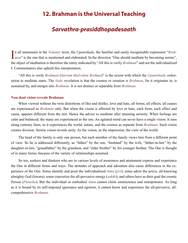## <span id="page-46-0"></span>**12. Brahman is the Universal Teaching**

## *Sarvathra-prasiddhopadesaath*

In all statements in the *Vedantic* texts, the *Upanishads*, the familiar and easily recognisable expression "*Brah*-<br>*[man](#page-49-1)*" is the one that is mentioned and elaborated. In the direction "One should meditate by becoming se n all statements in the *[Vedantic](#page-59-5)* texts, the *[Upanishads](#page-58-0)*, the familiar and easily recognisable expression "*[Brah](#page-49-1)*the object of meditation is therefore the entity indicated by "All this is verily *[Brahman](#page-49-1)*" and not the individualized I. Commentators also upheld this interpretation.

"All this is verily *[Brahman](#page-49-1)* (*Sarvam khalvidam Brahma*)" is the axiom with which the *[Upanishadic](#page-58-3)* exhortation to meditate starts. The *[Vedic](#page-59-1)* revelation is that the cosmos or creation is *[Brahman](#page-49-1)*, for it originates in, is sustained by, and merges into *[Brahman](#page-49-1)*. It is not distinct or separable from *[Brahman](#page-49-1)*.

#### **Non-dual vision reveals Brahman**

When viewed without the twin distortions of like and dislike, love and hate, all forms, all effects, all causes are experienced as *[Brahman](#page-49-1)* only. But when the vision is affected by love or hate, each form, each effect and cause, appears different from the rest. Hence the advice to meditate after attaining serenity. When feelings are calm and balanced, the many are experienced as the one. An agitated mind can never have a single vision. It runs along contrary lines, so it experiences the world, nature, and the cosmos as separate from *[Brahman](#page-49-1)*. Such vision creates division. Serene vision reveals unity. As the vision, so the impression, the view of the world.

The head of the family is only one person, but each member of the family views him from a different point of view. So he is addressed differently, as "father" by the son, "husband" by the wife, "father-in-law" by the daughter-in-law, "grandfather" by the grandson, and "elder brother" by his younger brother. The One is thought of in many forms, because of the variety of relationships assumed.

So too, seekers and thinkers who are in various levels of awareness and attainment express and experience the One in different forms and ways. The attitudes of approach and adoration also cause differences in the experience of the One. Some identify and posit the individualized *[Atma](#page-48-0)* (*[jivi](#page-51-8)*); some adore the active, all-knowing almighty God [\(Iswara](#page-51-11)); some concretize the all-pervasive energy (*[sakthi](#page-56-11)*); and others have as their goal the cosmic Person (*[Purusha](#page-55-12)*). But the individual or embodied *[Atma](#page-48-0)* cannot claim omniscience and omnipotence. As long as it is bound by its self-imposed ignorance and egotism, it cannot know and experience the all-pervasive, allcomprehensive *[Brahman](#page-49-1)*.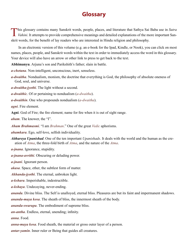# **Glossary**

<span id="page-47-0"></span>This glossary contains many Sanskrit words, people, places, and literature that Sathya Sai Baba use in Sutra<br>Vahini. It attempts to provide comprehensive meanings and detailed explanations of the more important Sanskrit words, for the benefit of lay readers who are interested in Hindu religion and philosophy.

In an electronic version of this volume (e.g. an e-book for the Ipad, Kindle, or Nook), you can click on most names, places, people, and Sanskrit words within the text in order to immediately access the word in this glossary. Your device will also have an arrow or other link to press to get back to the text.

<span id="page-47-19"></span>**Abhimanyu**. Arjuna's son and Parikshith's father; slain in battle.

<span id="page-47-10"></span>*a-chetana*. Non-intelligent, unconscious, inert, senseless.

<span id="page-47-18"></span>*a-dwaitha*. Nondualism, monism, the doctrine that everything is God, the philosophy of absolute oneness of God, soul, and universe.

<span id="page-47-15"></span>*a-dwaitha-jyothi*. The light without a second.

*a-dwaithic*. Of or pertaining to nondualism (*[a-dwaitha](#page-47-18)*).

<span id="page-47-4"></span>*a-dwaithin*. One who propounds nondualism (*[a-dwaitha](#page-47-18)*).

<span id="page-47-7"></span>*agni*. Fire element.

**Agni**. God of Fire; the fire element; name for fire when it is out of sight range.

*aham*. The knower, the "I".

<span id="page-47-17"></span>*Aham Brahmasmi*. "I am *[Brahman](#page-49-1)*." One of the great *[Vedic](#page-59-1)* aphorisms.

<span id="page-47-11"></span>*ahamkara*. Ego, self-love, selfish individuality.

*Aithareya Upanishad*. One of the ten important *[Upanishads](#page-58-0)*. It deals with the world and the human as the creation of *[Atma](#page-48-0)*, the three-fold birth of *[Atma](#page-48-0)*, and the nature of the *[Atma](#page-48-0)*.

<span id="page-47-1"></span>*a-jnana*. Ignorance, stupidity.

<span id="page-47-3"></span>*a-jnana-avrithi*. Obscuring or deluding power.

*a-jnani*. Ignorant person.

<span id="page-47-6"></span>*akasa*. Space, ether, the subtlest form of matter.

<span id="page-47-16"></span>*Akhanda-jyothi*. The eternal, unbroken light.

<span id="page-47-13"></span>*a-kshara*. Imperishable, indestructible.

<span id="page-47-12"></span>*a-kshaya*. Undecaying, never-ending.

<span id="page-47-2"></span>*ananda*. Divine bliss. The Self is unalloyed, eternal bliss. Pleasures are but its faint and impermanent shadows.

<span id="page-47-9"></span>*ananda-maya kosa*. The sheath of bliss, the innermost sheath of the body.

<span id="page-47-14"></span>*ananda-swarupa*. The embodiment of supreme bliss.

<span id="page-47-5"></span>*an-antha*. Endless, eternal, unending; infinity.

<span id="page-47-8"></span>*anna*. Food.

*anna-maya kosa*. Food sheath, the material or gross outer layer of a person.

*antar-yamin*. Inner ruler or Being that guides all creatures.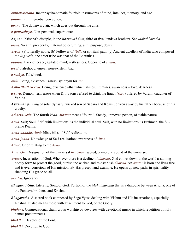<span id="page-48-7"></span>*anthah-karana*. Inner psycho-somatic fourfold instruments of mind, intellect, memory, and ego.

<span id="page-48-6"></span>*anumaana*. Inferential perception.

<span id="page-48-9"></span>*apana*. The downward air, which goes out through the anus.

<span id="page-48-5"></span>*a-pourusheya*. Non-personal, superhuman.

<span id="page-48-11"></span>**Arjuna**. [Krishna](#page-52-7)'s disciple, in the *[Bhagavad Gita](#page-48-1)*; third of five [Pandava](#page-54-16) brothers. See *[Mahabharatha](#page-52-8)*.

<span id="page-48-13"></span>*artha*. Wealth, prosperity, material object, thing, aim, purpose, desire.

- *Aryan*. (a) Literally noble. (b) Follower of *[Vedic](#page-59-1)* or spiritual path. (c) Ancient dwellers of India who composed the *[Rig-veda](#page-55-13)*; the chief tribe was that of the Bharathas.
- *asanthi*. Lack of peace; agitated mind; restlessness. Opposite of *[santhi](#page-56-12)*.
- *a-sat*. Falsehood, unreal, non-existent, bad.

*a-sathya*. Falsehood.

<span id="page-48-10"></span>*asthi*. Being, existence; is-ness; synonym for *[sat](#page-57-7)*.

<span id="page-48-4"></span>*Asthi-Bhathi-Priya*. Being, existence –that which shines, illumines, awareness – love, dearness.

- <span id="page-48-15"></span>*a-sura*. Demon; term arose when Diti's sons refused to drink the liquor (*sura*) offered by Varuni, daughter of [Varuna.](#page-59-10)
- <span id="page-48-16"></span>**Aswamanja**. King of solar dynasty; wicked son of Sagara and Kesini; driven away by his father because of his cruelty.
- <span id="page-48-14"></span>*Atharva-veda*. The fourth *Veda*. *Atharva* means "fourth". Steady, unmoved person, of stable nature.
- <span id="page-48-0"></span>*Atma*. Self; Soul. Self, with limitations, is the individual soul. Self, with no limitations, is [Brahman,](#page-49-1) the Supreme Reality.
- *Atma-ananda*. *[Atmic](#page-48-2)* bliss, bliss of Self-realization.
- <span id="page-48-3"></span>*Atma-jnana*. Knowledge of Self-realization; awareness of *[Atma](#page-48-0)*.
- <span id="page-48-2"></span>*Atmic*. Of or relating to the *[Atma](#page-48-0)*.

<span id="page-48-8"></span>*Aum*. *[Om](#page-54-7)*; Designation of the Universal *[Brahman](#page-49-1)*; sacred, primordial sound of the universe.

<span id="page-48-12"></span>*Avatar*. Incarnation of God. Whenever there is a decline of *[dharma](#page-50-0)*, God comes down to the world assuming bodily form to protect the good, punish the wicked and re-establish *[dharma](#page-50-0)*. An *Avatar* is born and lives free and is ever conscious of His mission. By His precept and example, He opens up new paths in spirituality, shedding His grace on all.

*a-vidya*. Ignorance.

- <span id="page-48-1"></span>*Bhagavad Gita*. Literally, Song of God. Portion of the *[Mahabharatha](#page-52-8)* that is a dialogue between [Arjuna](#page-48-11), one of the [Pandava](#page-54-16) brothers, and [Krishna](#page-52-7).
- *Bhagavatha*. A sacred book composed by Sage [Vyasa](#page-60-1) dealing with [Vishnu](#page-59-4) and His incarnations, especially [Krishna](#page-52-7). It also means those with attachment to God, or the Godly.
- *bhajans*. Congregational chant group worship by devotees with devotional music in which repetition of holy names predominates.

*bhaktha*. Devotee of the Lord.

*bhakthi*. Devotion to God.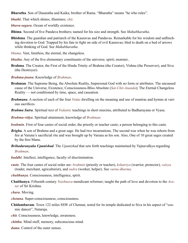<span id="page-49-19"></span>**Bharatha**. Son of [Dasaratha](#page-50-9) and Kaika; brother of Rama. "Bharatha" means "he who rules".

<span id="page-49-17"></span>*bhathi*. That which shines, illumines; *[chit](#page-49-14)*.

<span id="page-49-6"></span>*bhava-sagara*. Ocean of worldly existence.

<span id="page-49-20"></span>**Bhima**. Second of five [Pandava](#page-54-16) brothers; named for his size and strength. See *[Mahabharatha](#page-52-8)*.

- **Bhishma**. The guardian and patriarch of the [Kauravas](#page-52-9) and [Pandavas](#page-54-16). Remarkable for his wisdom and unflinching devotion to God. Trapped by his fate to fight on side of evil [Kauravas;](#page-52-9) bled to death on a bed of arrows while thinking of God. See *[Mahabharatha](#page-52-8)*.
- <span id="page-49-18"></span>*bhuma*. Vast, limitless, the eternal, the changeless.
- <span id="page-49-16"></span>*bhutha*. Any of the five elementary constituents of the universe; spirit; monster..
- <span id="page-49-15"></span>**Brahma**. The Creator, the First of the Hindu Trinity of Brahma (the Creator), [Vishnu](#page-59-4) (the Preserver), and [Siva](#page-57-17)  (the Destroyer).
- *Brahma-jnana*. Knowledge of *[Brahman](#page-49-1)*.
- <span id="page-49-1"></span>**Brahman**. The Supreme Being, the Absolute Reality, Impersonal God with no form or attributes. The uncaused cause of the Universe, Existence, Consciousness-Bliss Absolute (*[Sat-Chit-Ananda](#page-57-1)*); The Eternal Changeless Reality — not conditioned by time, space, and causation.
- *Brahmana*. A section of each of the four *[Vedas](#page-59-2)* dwelling on the meaning and use of mantras and hymns at various sacrifices.
- <span id="page-49-0"></span>*Brahma Sutra*. Spiritual text of *[Vedantic](#page-59-5)* teachings in short maxims, attributed to Badharayana or [Vyasa.](#page-60-1)
- <span id="page-49-7"></span>*Brahma-vidya*. Spiritual attainment, knowledge of *[Brahman](#page-49-1)*.
- <span id="page-49-5"></span>*brahmin*. First of four [caste](#page-49-4)s of social order, the priestly or teacher caste; a person belonging to this [caste.](#page-49-4)
- <span id="page-49-8"></span>*Brighu*. A son of [Brahma](#page-49-15) and a great sage. He had two incarnations. The second was when he was reborn from fire at [Varuna](#page-59-10)'s sacrificial rite and was brought up by [Varuna](#page-59-10) as his son. Also, One of 10 great sages created by the first [Manu](#page-53-11).
- <span id="page-49-10"></span>*Brihadaranyaka Upanishad*. The *[Upanishad](#page-58-0)* that sets forth teachings maintained by [Yajnavalkya](#page-60-2) regarding *[Brahman](#page-49-1)*.
- <span id="page-49-3"></span>*buddhi*. Intellect, intelligence, faculty of discrimination.
- <span id="page-49-4"></span>**caste**. The four castes of social order are: *brahmin* (priestly or teacher), *[kshatriya](#page-52-3)* (warrior, protector), *vaisya* (trader, merchant, agriculturist), and *sudra* (worker, helper). See *[varna dharma](#page-49-4)*.
- <span id="page-49-9"></span>*chaithanya*. Consciousness, intelligence, spirit.
- **Chaithanya**. Fifteenth century *[Vaishnava](#page-58-20)* mendicant reformer; taught the path of love and devotion to the *[Ava](#page-48-12)[tar](#page-48-12)* of Sri Krishna.
- <span id="page-49-11"></span>*chara*. Moving.
- <span id="page-49-12"></span>*chetana*. Super-consciousness, consciousness.
- **Chidambaram**. Town 122 miles SSW of Chennai, noted for its temple dedicated to Siva in his aspect of "cosmic dancer", Nataraja.
- <span id="page-49-14"></span>*chit*. Consciousness, knowledge, awareness.
- <span id="page-49-13"></span>*chittha*. Mind stuff, memory, subconscious mind.
- <span id="page-49-2"></span>*dama*. Control of the outer senses.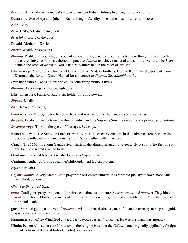<span id="page-50-3"></span>*darsana*. Any of the six principal systems of ancient Indian philosophy; insight or vision of truth.

<span id="page-50-9"></span>**Dasaratha**. Son of Aja and father of Rama; King of Ayodhya; the name means "ten chariot hero".

*deha*. Body.

<span id="page-50-7"></span>*deva*. Deity, celestial being, God.

*deva loka*. World of the gods.

**Devaki**. Mother of [Krishna](#page-52-7).

<span id="page-50-2"></span>*dhana*. Wealth, possessions.

- <span id="page-50-0"></span>*dharma*. Righteousness, religion, code of conduct, duty, essential nature of a being or thing. It holds together the entire Universe. Man is exhorted to practise *dharma* to achieve material and spiritual welfare. The *[Vedas](#page-59-2)* contain the roots of *dharma*. God is naturally interested in the reign of *dharma*.
- **Dharmaraja**. Name for [Yudhistira,](#page-60-3) eldest of the five [Pandava](#page-54-16) brothers. Born to [Kunthi](#page-52-10) by the grace of [Yama](#page-60-4)  [Dharmaraaja,](#page-60-4) Lord of Death. Named for adherence to *[dharma](#page-50-0)*. See *[Mahabharatha](#page-52-8)*.

<span id="page-50-10"></span>*Dharma Sastras*. Codes of law and ethics concerning virtuous living.

<span id="page-50-5"></span>*dharmic*. According to *[dharma](#page-50-5)*, righteous.

**Dhritharashtra**. Father of [Kauravas;](#page-52-9) holder of ruling power..

*dhyana*. Meditation.

<span id="page-50-8"></span>*divi*. Heaven; divine light.

**Dronacharya**. Drona, the teacher of archery and war tactics for the [Pandavas](#page-54-16) and [Kauravas.](#page-52-9)

*dwaitha*. Dualism, the doctrine that the individual and the Supreme Soul are two different principles or entities.

*Dwapara-yuga*. Third in the cycle of four ages. See *[yuga](#page-60-5)*.

- **Easwara**. [Iswara](#page-51-11) The Supreme Lord. Easwara is the Lord of every creature in the universe. Hence, the entire cosmos is reflected as an image in the Lord. [Siva](#page-57-17) is often called Easwara.
- **Ganga**. The 1560-mile-long Ganges river; starts in the Himalayas and flows generally east into the Bay of Bengal; the most sacred river of India.
- **Gautama**. Father of Nachiketas; also known as Yajnasravas.

<span id="page-50-4"></span>**Gautama**. Author of *[Nyaya](#page-54-17)* system of philosophy and logical system.

*gayas*. Vital airs.

*Gayatri mantra*. A very sacred *[Vedic](#page-59-1)* prayer for self-enlightenment; it is repeated piously at dawn, noon, and twilight devotions.

#### *Gita*. See *[Bhagavad Gita](#page-48-1)*.

- <span id="page-50-6"></span>*guna*. Quality, property, trait; one of the three constituents of nature (*[sathwa](#page-57-12)*, *[rajas](#page-55-7)*, and *[thamas](#page-58-9)*). They bind the soul to the body. Man's supreme goal in life is to transcend the *gunas* and attain liberation from the cycle of birth and death.
- <span id="page-50-1"></span>**guru**. Spiritual guide; a knower of *[Brahman](#page-49-1)*, who is calm, desireless, merciful, and ever ready to help and guide spiritual aspirants who approach him.
- <span id="page-50-11"></span>**Hanuman**. Son of the Wind God and a great "devotee servant'' of [Rama](#page-55-14). He was part man, part monkey.
- **Hindu**. Person who adheres to Hinduism —the religion based on the *[Vedas](#page-59-2)*. Name originally applied by foreign invaders to inhabitants of Indus (Sindhu) river valley.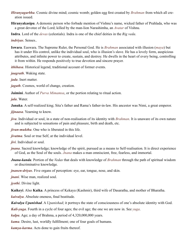- *Hiranyagarbha*. Cosmic divine mind; cosmic womb; golden egg first created by *[Brahman](#page-49-1)* from which all creation issued.
- <span id="page-51-10"></span>**Hiranyakasipu**. A demonic person who forbade mention of [Vishnu'](#page-59-4)s name, wicked father of [Prahlada](#page-54-5), who was a great devotee of the Lord; killed by the man-lion Narashimha, an *[Avatar](#page-48-12)* of [Vishnu](#page-59-4).

<span id="page-51-16"></span>**Indra**. Lord of the *[devas](#page-50-7)* (celestials). Indra is one of the chief deities in the *[Rig veda](#page-59-2)*.

<span id="page-51-14"></span>*indriyas*. Senses..

<span id="page-51-11"></span>**Iswara**. Easwara. The Supreme Ruler, the Personal God. He is *[Brahman](#page-49-1)* associated with illusion (*[maya](#page-53-5)*) but has it under His control, unlike the individual soul, who is illusion's slave. He has a lovely form, auspicious attributes, and infinite power to create, sustain, and destroy. He dwells in the heart of every being, controlling it from within. He responds positively to true devotion and sincere prayer.

<span id="page-51-18"></span>*ithihasa*. Historical legend, traditional account of former events.

*jaagrath*. Waking state.

<span id="page-51-12"></span>*jada*. Inert matter.

<span id="page-51-3"></span>*jagath*. Cosmos, world of change, creation.

<span id="page-51-4"></span>**Jaimini**. Author of *[Purva Mimamsa](#page-55-1)*, or the portion relating to ritual action.

<span id="page-51-9"></span>*jala*. Water.

<span id="page-51-19"></span>**Janaka**. A self-realized king; [Sita](#page-57-18)'s father and [Rama'](#page-55-14)s father-in-law. His ancestor was Nimi, a great emperor.

<span id="page-51-7"></span>*jijnaasa*. Yearning to know.

*jiva*. Individual or soul, in a state of non-realisation of its identity with *[Brahman](#page-49-1)*. It is unaware of its own nature and is subjected to sensations of pain and pleasure, birth and death, etc.

<span id="page-51-0"></span>*jivan-muktha*. One who is liberated in this life.

<span id="page-51-5"></span>*jivatma*. Soul or true Self, at the individual level.

<span id="page-51-8"></span>*jivi*. Individual or soul.

- <span id="page-51-2"></span>*jnana*. Sacred knowledge; knowledge of the spirit, pursued as a means to Self-realisation. It is direct experience of God, as the Soul of the souls. *Jnana* makes a man omniscient, free, fearless, and immortal.
- <span id="page-51-20"></span>*Jnana-kanda*. Portion of the *[Vedas](#page-59-2)* that deals with knowledge of *[Brahman](#page-49-1)* through the path of spiritual wisdom or discriminative knowledge.
- *jnanen-driyas*. Five organs of perception: eye, ear, tongue, nose, and skin.

<span id="page-51-13"></span>*jnani*. Wise man, realized soul.

<span id="page-51-15"></span>*jyothi*. Divine light.

**Kaikeyi**. Also **Kaika**. A princess of Kekaya (Kashmir), third wife of [Dasaratha,](#page-50-9) and mother of [Bharatha.](#page-49-19)

*kaivalya*. Absolute oneness, final beatitude.

<span id="page-51-1"></span>*Kaivalya Upanishad*. A *[Upanishad](#page-58-0)*; it portrays the state of consciousness of one's absolute identity with God.

*Kali-yuga*. Fourth in a cycle of four ages; the evil age; the one we are now in. See *[yuga](#page-60-5)*.

*kalpa*. Age; a day of [Brahma,](#page-49-15) a period of 4,320,000,000 years.

<span id="page-51-17"></span>*kama*. Desire, lust, worldly fulfillment; one of four goals of humans.

<span id="page-51-6"></span>*kamya-karma*. Acts done to gain fruits thereof.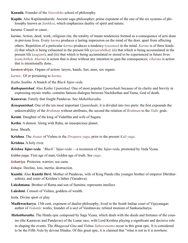<span id="page-52-2"></span>**Kanada**. Founder of the *[Vaiseshika](#page-58-1)* school of philosophy.

<span id="page-52-1"></span>**Kapila**. Also Kapilamaharshi. Ancient sage-philosopher; prime exponent of the one of the six systems of philosophy known as *[Sankhya](#page-56-9)*, which emphasizes duality of spirit and nature.

<span id="page-52-6"></span>*karana*. Causal or cause..

<span id="page-52-0"></span>*karma*. Action, deed, work, religious rite, the totality of innate tendencies formed as a consequence of acts done in previous lives. Every *karma* produces a lasting impression on the mind of the doer, apart from affecting

others. Repetition of a particular *karma* produces a tendency (*[vasanas](#page-59-14)*) in the mind. *Karma* is of three kinds: (i) that which is being exhausted in the present life (*praarabdha*): (ii) that which is being accumulated in the present life (*aagami*), and (iii) that which is being accumulated or stored to be experienced in future lives (*samchitha*). *Akarma* is action that is done without any intention to gain the consequences; *vikarma* is action that is intentionally done..

*karmen-driyas*. Organs of action: larynx, hands, feet, anus, sex organs.

<span id="page-52-4"></span>*karmic*. Of or pertaining to *[karma](#page-52-0)*.

*Katha Saakha*. A branch of the *[Black Yajur-veda.](#page-60-6)*

*Kathopanishad*. Also *Katha Upanishad*. One of most popular *[Upanishads](#page-58-0)* because of its clarity and brevity in expressing mystic truths; contains famous dialogue between Nachikethas and [Yama](#page-60-4), God of death.

<span id="page-52-9"></span>**Kauravas**. Family that fought [Pandavas.](#page-54-16) See *[Mahabharatha](#page-52-8)*.

*Kenopanishad*. One of the ten most important *[Upanishads](#page-58-0)*; it is divided into two parts: the first expounds the unknowability of the *[Brahman](#page-49-1)* without attributes, the second the relation of *[Brahman](#page-49-1)* to the *[Vedic](#page-59-1)* gods.

**Kesini**. Daughter of the king of [Vidarbha](#page-59-15) and wife of [Sagara](#page-56-13).

<span id="page-52-11"></span>**Kethu**. A demon. Along with Rahu, an inauspicious planet.

*kosa*. Sheath.

<span id="page-52-7"></span>**Krishna**. The *[Avatar](#page-48-12)* of [Vishnu](#page-59-4) in the *[Dwapara yuga](#page-60-5)*, prior to the present *[Kali yuga](#page-60-5)*.

**Krishna**. A holy river.

*Krishna Yajur-veda*. *"Black" Yajur-veda* —a recension of the *Yajur-veda*, promoted by [Veda Vyasa](#page-60-1).

*kritha-yuga*. First age of man, Golden age of truth. See *[yuga](#page-60-5)*.

<span id="page-52-3"></span>*kshatriya*. Protector, warrior; see c[aste](#page-49-4).

*kshaya*. Decline, loss, inertia; destruction.

- <span id="page-52-10"></span>**Kunthi**. Also **Kunthi Devi**. Mother of [Pandavas](#page-54-16), wife of King Pandu (the younger brother of emperor Dhritharashtra), and sister of [Krishna](#page-52-7)'s father [\(Vasudeva](#page-59-16)).
- <span id="page-52-12"></span>**Lakshmana**. Brother of [Rama](#page-55-14) and son of [Sumitra](#page-57-19); represents intellect.
- **Lakshmi**. Consort of [Vishnu](#page-59-4), goddess of wealth.

<span id="page-52-5"></span>*leela*. Divine sport or play.

- **Madhwacharya**. 13th cent. exponent of dualist philosophy; lived in the South Indian court of Vijayanagar; author of *[Vedantic](#page-59-0)* works; founder of a sect of Vaishnavas; refuted monism of [Sankaracharya](#page-56-8).
- <span id="page-52-8"></span>*Mahabharatha*. The Hindu epic composed by Sage [Vyasa,](#page-60-1) which deals with the deeds and fortunes of the cousins (the [Kauravas](#page-52-9) and [Pandavas\)](#page-54-16) of the Lunar race, with Lord [Krishna](#page-52-7) playing a significant and decisive role in shaping the events. The *[Bhagavad Gita](#page-48-1)* and *Vishnu [Sahasranama](#page-56-14)* occur in this great epic. It is considered to be the Fifth *[Veda](#page-59-2)* by devout Hindus. Of this great epic, it is claimed that "what is not in it is nowhere.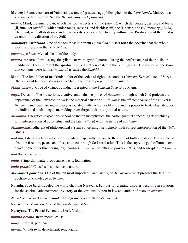- <span id="page-53-7"></span>**Maitreyi**. Female consort of [Yajnavalkya](#page-60-2); one of greatest sage-philosophers in the *[Upanishads](#page-58-0)*. Maitreyi was known for her wisdom. See the *[Brihadaranyaka Upanishad](#page-49-10)*.
- <span id="page-53-2"></span>*manas*. Mind, the inner organ, which has four aspects: (i) mind (*manas*), which deliberates, desires, and feels; (ii) intellect (*[buddhi](#page-49-3)*), which understands, reasons, and decides; (iii) the 'I' sense, and (iv) memory (*[chitha](#page-49-13)*). The mind, with all its desires and their broods, conceals the Divinity within man. Purification of the mind is essential for realisation of the Self.
- *Mandukya Upanishad*. One of the ten most important *[Upanishads](#page-58-0)*; it sets forth the doctrine that the whole world is present in the syllable *[Om](#page-54-7)*.
- <span id="page-53-10"></span>*manomaya kosa*. Mental sheath of the body.
- *mantra*. A sacred formula, mystic syllable or word symbol uttered during the performance of the rituals or meditation. They represent the spiritual truths directly revealed to the *[rishis](#page-55-15)* (seers). The section of the *[Veda](#page-59-2)* that contains these hymns (*mantras*) is called the *[Samhitha](#page-56-15)*.
- <span id="page-53-11"></span>**Manu**. The first father of mankind; author of the codes of righteous conduct (*[Dharma Sastras](#page-50-10)*); son of [Surya](#page-57-20)  (the sun) and father of Vaivaswatha Manu, the present progenitor of mankind.
- *Manu-dharma*. Code of virtuous conduct presented in the *[Dharma Sastras](#page-50-10)* by Manu.
- <span id="page-53-5"></span>*maya*. Delusion. The mysterious, creative, and delusive power of *[Brahman](#page-49-1)* through which God projects the appearance of the Universe. *Maya* is the material cause and *[Brahman](#page-49-1)* is the efficient cause of the Universe. *[Brahman](#page-49-1)* and *maya* are inextricably associated with each other like fire and its power to heat. *Maya* deludes the individual souls in egoism, making them forget their true spiritual nature.
- <span id="page-53-14"></span>*Mimamsa*. Exegetical-expository school of Indian metaphysics, the earlier (*purva*) concerning itself chiefly with interpretation of *Vedic* ritual and the later (*[uttara](#page-58-2)*) with the nature of *[Brahman](#page-49-1)*.
- *Mimamsaka*. Adherent of philosophical system concerning itself chiefly with correct interpretation of the *[Vedic](#page-59-1)* rituals.
- <span id="page-53-0"></span>*moksha*. Liberation from all kinds of bondage, especially the one to the cycle of birth and death. It is a state of absolute freedom, peace, and bliss, attained through Self-realisation. This is the supreme goal of human endeavour, the other three being, righteousness (*[dharma](#page-50-0)*), wealth and power (*[artha](#page-48-13)*), and sense-pleasure (*[kama](#page-51-17)*).

<span id="page-53-4"></span>*mukthi*. See *[moksha](#page-53-0)*.

- *mula*. Primordial matter; root cause, basis, foundation.
- <span id="page-53-8"></span>*mula-prakriti*. Causal substance; basic nature.
- *Mundaka Upanishad*. One of the ten most important *[Upanishads](#page-58-0)*, of *[Artharva-veda](#page-48-14)*; it presents the *[Vedantic](#page-59-5)* doctrine of knowledge of *[Brahman](#page-49-1)*.
- <span id="page-53-12"></span>**Narada**. Sage-bard; traveled the world chanting [Narayana](#page-53-6). Famous for creating disputes, resulting in solutions for the spiritual advancement or victory of the virtuous. Expert in law and author of texts on *[dharma](#page-50-0)*.
- <span id="page-53-13"></span>*Narada-parivrajaka Upanishad*. The sage-mendicant [Narada](#page-53-12)'s *[Upanishad](#page-58-0)*.

**Narasimha**. Man-lion. One of the ten *[Avatars](#page-48-12)* of [Vishnu](#page-59-4).

<span id="page-53-6"></span>**Narayana**. The Primal Person, the Lord, [Vishnu](#page-59-4).

<span id="page-53-9"></span>*nimitta-karana*. Instrumental cause.

<span id="page-53-1"></span>*nithya*. Eternal, permanent.

<span id="page-53-3"></span>*nivritti*. Withdrawal, detachment, renunciation.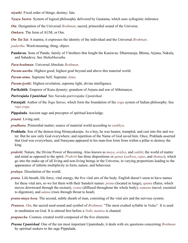<span id="page-54-2"></span>*niyathi*. Fixed order of things; destiny; fate.

<span id="page-54-17"></span>*Nyaya Sastra*. System of logical philosophy delivered by [Gautama,](#page-50-4) which uses syllogistic inference.

<span id="page-54-7"></span>*Om.* Designation of the Universal *[Brahman](#page-49-1)*; sacred, primordial sound of the Universe.

*Omkara*. The form of [AUM,](#page-48-8) or Om.

*Om Tat Sat*. A mantra; it expresses the identity of the individual and the Universal *[Brahman](#page-49-1)*.

<span id="page-54-11"></span>*padartha*. Word-meaning; thing, object.

<span id="page-54-16"></span>**Pandavas**. Sons of Pandu; family of 5 brothers that fought the [Kauravas:](#page-52-9) [Dharmaraja](#page-60-3), [Bhima,](#page-49-20) [Arjuna](#page-48-11), Nakula, and Sahadeva. See *[Mahabharatha](#page-52-8)*.

<span id="page-54-3"></span>*Para-brahman*. Universal Absolute *[Brahman](#page-49-1)*.

<span id="page-54-12"></span>*Param-aartha*. Highest good; highest goal beyond and above this material world.

<span id="page-54-0"></span>*Param-atma*. Supreme Self, Supreme *[Atma](#page-48-0)*.

<span id="page-54-14"></span>*Param-jyothi*. Highest revelation, supreme light, divine intelligence.

**Parikshith**. Emperor of Kuru dynasty; grandson of [Arjuna](#page-48-11) and son of [Abhimanyu.](#page-47-19)

*Parivrajaka Upanishad*. See *[Narada-parivrajaka Upanishad](#page-53-13)*.

<span id="page-54-19"></span>**Patanjali**. Author of the *[Yoga Sutras](#page-60-7)*, which form the foundation of the *[yoga](#page-60-0)* system of Indian philosophy. See *[raja-yoga](#page-55-16)*.

<span id="page-54-18"></span>**Pippalada**. Ancient sage and preceptor of spiritual knowledge.

<span id="page-54-10"></span>*praani*. Living unit.

- <span id="page-54-9"></span>*pradhana*. Primordial matter; source of material world according to *[sankhya](#page-56-9)*.
- <span id="page-54-5"></span>**Prahlada**. Son of the demon king [Hiranyakasipu.](#page-51-10) As a boy, he was beaten, trampled, and cast into fire and water. But he saw only God everywhere, and repetition of the Name of God saved him. Once, [Prahlada](#page-54-5) asserted that God was everywhere, and [Narayana](#page-53-6) appeared in his man-lion form from within a pillar to destroy the king.
- <span id="page-54-4"></span>*prakriti*. Nature, the Divine Power of Becoming. Also known as *[maya](#page-53-5)*, *avidya*, and *[sakthi](#page-56-11)*; the world of matter and mind as opposed to the spirit. *Prakriti* has three dispositions or *[gunas](#page-50-6)* (*[sathwa](#page-57-12)*, *[rajas](#page-55-7)*, and *[thamas](#page-58-9)*), which go into the make-up of all living and non-living beings in the Universe, in varying proportions leading to the appearance of infinite multiplicity in form, nature, and behaviour.

<span id="page-54-15"></span>*pralaya*. Dissolution of the world.

<span id="page-54-6"></span>*prana*. Life-breath, life force, vital energy, the five vital airs of the body. English doesn't seem to have names for these vital airs, so we list them with their Sanskrit names: *prana* (located in lungs), *[apana](#page-48-9)* (flatus, which moves downward through the rectum), *[vyana](#page-59-11)* (diffused throughout the whole body), *[samana](#page-56-10)* (navel; essential to digestion), and *[udana](#page-58-16)* (rises through throat to head).

<span id="page-54-13"></span>*prana-maya kosa*. The second, subtle sheath of man, consisting of the vital airs and the nervous system.

<span id="page-54-8"></span>*Pranava*. *Om*; the sacred seed-sound and symbol of *[Brahman](#page-49-1)*. "The most exalted syllable in *[Vedas](#page-59-2)*". It is used in meditation on God. It is uttered first before a *[Vedic](#page-59-1) mantra* is chanted.

<span id="page-54-1"></span>*prapancha*. Cosmos; created world composed of the five elements.

*Prasna Upanishad*. One of the ten most important [Upanishads;](#page-58-0) it deals with six questions concerning *[Brahman](#page-49-1)* by spiritual seekers to the sage [Pippalada](#page-54-18).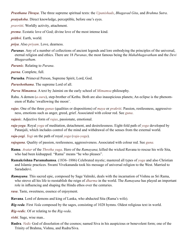<span id="page-55-0"></span>*Prasthana Thraya*. The three supreme spiritual texts: the *[Upanishads](#page-58-0)*, *[Bhagavad Gita](#page-48-1)*, and *[Brahma Sutra](#page-49-0)*.

<span id="page-55-6"></span>*pratyaksha*. Direct knowledge, perceptible, before one's eyes.

<span id="page-55-3"></span>*pravritti*. Worldly activity, attachment.

<span id="page-55-4"></span>*prema*. Ecstatic love of God; divine love of the most intense kind.

<span id="page-55-5"></span>*prithvi*. Earth, world.

- <span id="page-55-10"></span>*priya*. Also *priyam*. Love, dearness.
- <span id="page-55-17"></span>*Puranas*. Any of a number of collections of ancient legends and lore embodying the principles of the universal, eternal religion and ethics. There are 18 *Puranas*, the most famous being the *Mahabhagavatham* and the *Devi Bhagavatham*.

*Puranic*. Relating to *[Purana](#page-55-17)*.

<span id="page-55-8"></span>*purna*. Complete, full.

<span id="page-55-12"></span>**Purusha**. Primeval Person, Supreme Spirit, Lord, God.

*Purushothama*. The supreme Lord of all.

<span id="page-55-1"></span>*Purva Mimamsa*. A text by [Jaimini](#page-51-4) on the early school of *[Mimamsa](#page-53-14)* philosophy.

- Rahu. A demon (*[a-sura](#page-48-15)*), step-brother of [Kethu.](#page-52-11) Both are also inauspicious planets; An eclipse is the phenomenon of Rahu 'swallowing the moon'.
- <span id="page-55-7"></span>*rajas*. One of the three *[gunas](#page-50-6)* (qualities or dispositions) of *[maya](#page-53-5)* or *[prakriti](#page-54-4)*. Passion, restlessness, aggressiveness, emotions such as anger, greed, grief. Associated with colour red. See *[guna](#page-50-6)*.
- <span id="page-55-2"></span>*rajasic*. Adjective form of *[rajas](#page-55-7)*, passionate, emotional.
- <span id="page-55-16"></span>*raja-yoga*. Royal *[yoga](#page-60-0)* of meditation, detachment, and desirelessness. Eight-fold path of *[yoga](#page-60-0)* developed by [Patanjali,](#page-54-19) which includes control of the mind and withdrawal of the senses from the external world.
- *raja-yogi*. *[Yogi](#page-60-8)* on the path of royal *[yoga](#page-60-0)* (*[raja-yoga](#page-55-16)*).
- *rajoguna*. Quality of passion, restlessness, aggressiveness. Associated with colour red. See *[guna](#page-50-6).*
- <span id="page-55-14"></span>**Rama**. *[Avatar](#page-48-12)* of the *[Thretha yuga](#page-60-5)*. Hero of the *[Ramayana](#page-55-18)*; killed the wicked [Ravana](#page-55-19) to rescue his wife [Sita](#page-57-18), who had been kidnapped. "Rama" means "he who pleases".
- <span id="page-55-21"></span>**Ramakrishna Paramahamsa**. (1836–1886) Celebrated mystic; mastered all types of *[yoga](#page-60-0)* and also Christian and Islamic practices. Swami [Vivekananda](#page-59-17) took his message of universal religion to the West. Married to Saradadevi.
- <span id="page-55-18"></span>*Ramayana*. This sacred epic, composed by Sage [Valmiki,](#page-58-21) deals with the incarnation of [Vishnu](#page-59-4) as Sri [Rama](#page-55-14), who strove all his life to reestablish the reign of *[dharma](#page-50-0)* in the world. The *Ramayana* has played an important role in influencing and shaping the Hindu ethos over the centuries.
- <span id="page-55-9"></span>*rasa*. Taste, sweetness, essence of enjoyment.
- <span id="page-55-19"></span>**Ravana**. Lord of demons and king of Lanka, who abducted [Sita](#page-57-18) [\(Rama](#page-55-14)'s wife).
- <span id="page-55-13"></span>*Rig-veda*. First *[Veda](#page-59-2)* composed by the sages, consisting of 1028 hymns. Oldest religious text in world.

<span id="page-55-20"></span>*Rig-vedic*. Of or relating to the *[Rig-veda](#page-55-13)*.

<span id="page-55-15"></span>*rishi*. Sage, wise man..

<span id="page-55-11"></span>**Rudra**. *[Vedic](#page-59-1)* God of dissolution of the cosmos; named [Siva](#page-57-17) in his auspicious or benevolent form; one of the Trinity of [Brahma,](#page-49-15) [Vishnu,](#page-59-4) and Rudra/[Siva.](#page-57-17)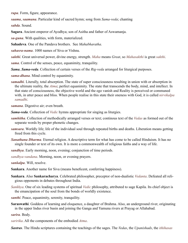*rupa*. Form, figure, appearance.

*saama*, *saamana*. Particular kind of sacred hymn; song from *Sama-veda*; chanting

<span id="page-56-7"></span>*sabda*. Sound.

<span id="page-56-13"></span>**Sagara**. Ancient emperor of Ayodhya; son of Asitha and father of [Aswamanja](#page-48-16).

*sa-guna*. With qualities, with form, materialized.

**Sahadeva**. One of the [Pandava](#page-54-16) brothers. See *[Mahabharatha](#page-52-8)*.

<span id="page-56-14"></span>*sahasra-nama*. 1000 names of [Siva](#page-57-17) or [Vishnu](#page-59-4).

<span id="page-56-11"></span>*sakthi*. Great universal power, divine energy, strength. *Maha* means *Great*, so *Mahasakthi* is great *sakthi*.

<span id="page-56-4"></span>*sama*. Control of the senses, peace, equanimity, tranquility.

*Sama*, *Sama-veda*. Collection of certain verses of the *[Rig-veda](#page-55-13)* arranged for liturgical purposes.

<span id="page-56-5"></span>*sama-dhana*. Mind control by equanimity.

<span id="page-56-16"></span>*samadhi*. Literally, total absorption. The state of super consciousness resulting in union with or absorption in the ultimate reality, the *[Atma](#page-48-0)*; perfect equanimity. The state that transcends the body, mind, and intellect. In that state of consciousness, the objective world and the ego vanish and Reality is perceived or communed with, in utter peace and bliss. When people realise in this state their oneness with God, it is called *nirvikalpa samadhi*.

<span id="page-56-10"></span>*samana*. Digestive air; even breath.

<span id="page-56-17"></span>*Sama-veda*. Collection of *[Vedic](#page-59-1)* hymns appropriate for singing as liturgies.

<span id="page-56-15"></span>*samhitha*. Collection of methodically arranged verses or text; continous text of the *[Vedas](#page-59-2)* as formed out of the separate words by proper phonetic changes.

<span id="page-56-1"></span>*samsara*. Worldly life; life of the individual soul through repeated births and deaths. Liberation means getting freed from this cycle.

*Sanathana Dharma*. Eternal religion. A descriptive term for what has come to be called Hinduism. It has no single founder or text of its own. It is more a commonwealth of religious faiths and a way of life.

<span id="page-56-3"></span>*sandhya*. Early morning, noon, evening; conjunction of time periods.

*sandhya-vandana*. Morning, noon, or evening prayers.

<span id="page-56-6"></span>*sankalpa*. Will, resolve.

**Sankara**. Another name for [Siva](#page-57-17) (means beneficent, conferring happiness).

- <span id="page-56-8"></span>**Sankara**. Also **Sankaracharya**. Celebrated philosopher, preceptor of non-dualistic *[Vedanta](#page-59-0)*. Defeated all religious opponents in debates throughout India.
- <span id="page-56-9"></span>*Sankhya*. One of six leading systems of spiritual *[Vedic](#page-59-1)* philosophy, attributed to sage [Kapila](#page-52-1). Its chief object is the emancipation of the soul from the bonds of worldly existence.
- <span id="page-56-12"></span>*santhi*. Peace, equanimity, serenity, tranquility.
- **Saraswathi**. Goddess of learning and eloquence, a daughter of [Brahma](#page-49-15). Also, an underground river, originating in the upper Indus river basin and joining the Ganga and Yamuna rivers at Prayag or Allahabad.

<span id="page-56-2"></span>*sarira*. Body.

*saririka*. All the components of the embodied *[Atma](#page-48-0)*.

<span id="page-56-0"></span>*Sastras*. The Hindu scriptures containing the teachings of the sages. The *[Vedas](#page-59-2)*, the *[Upanishads](#page-58-0)*, the *[ithihasas](#page-51-18)*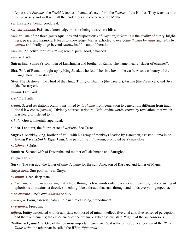(epics), the *[Puranas](#page-55-17)*, the *Smrithis* (codes of conduct), etc., form the *Sastras* of the Hindus. They teach us how to live wisely and well with all the tenderness and concern of the Mother.

<span id="page-57-7"></span>*sat*. Existence, being, good, real.

<span id="page-57-1"></span>*sat-chit-ananda*. Existence-knowledge-bliss, or being-awareness-bliss.

<span id="page-57-12"></span>*sathwa*. One of the three *[gunas](#page-50-6)* (qualities and dispositions) of *[maya](#page-53-5)* or *prakriti*. It is the quality of purity, brightness, peace, and harmony. It leads to knowledge. Man is exhorted to overcome *[thamas](#page-58-9)* by *[rajas](#page-55-7)* and *rajas* by *sathwa* and finally to go beyond *sathwa* itself to attain liberation.

*sathwic*. Adjective form of *sathwa*; serene, pure, good, balanced.

<span id="page-57-3"></span>*sathya*. Truth.

<span id="page-57-21"></span>**Satrughna**. [Sumitra](#page-57-19)'s son, twin of [Lakshmana](#page-52-12) and brother of [Rama](#page-55-14). The name means "slayer of enemies".

- <span id="page-57-18"></span>**Sita**. Wife of [Rama](#page-55-14); brought up by King [Janaka](#page-51-19) who found her in a box in the earth. Also, a tributary of the Ganga, flowing westward.
- <span id="page-57-17"></span>**Siva**. The Destroyer, the Third of the Hindu Trinity of Brahma (the Creator), [Vishnu](#page-59-4) (the Preserver), and Siva (the Destroyer).

<span id="page-57-9"></span>*soham*. I am God.

<span id="page-57-4"></span>*sraddha*. Faith.

<span id="page-57-2"></span>*sruthi*. Sacred revelations orally transmitted by *[brahmins](#page-49-5)* from generation to generation, differing from traditional law codes (*smrithi*). Divinely sourced scripture; *[Veda](#page-59-8)*; divine words known by revelation; that which was heard or listened to.

<span id="page-57-15"></span>*sthula*. Gross, material, superficial.

<span id="page-57-6"></span>**sudra**. Labourer, the fourth [caste](#page-49-4) of workers. See [Caste](#page-49-4).

<span id="page-57-22"></span>**Sugriva**. Monkey-king, brother of [Vali](#page-58-22); with his army of monkeys headed by [Hanuman](#page-50-11), assisted [Rama](#page-55-19) in defeating [Ravana](#page-55-19).*Sukla Yajur Veda*. One part of the *[Yajur-veda](#page-60-6)*, promoted by [Yajnavalkya.](#page-60-2)

<span id="page-57-16"></span>*sukshma*. Subtle.

<span id="page-57-19"></span>**Sumitra**. Second wife of [Dasaratha](#page-50-9) and mother of [Lakshmana](#page-52-12) and [Satrughna](#page-57-21).

**surya**. The sun.

<span id="page-57-20"></span>**Surya**. The sun god, the father of time. A name for the sun. Also, son of Kasyapa and father of [Manu.](#page-53-11)

*Surya-deva*. Sun-god; same as Surya.

<span id="page-57-14"></span>*sushupti*. Deep sleep state.

- <span id="page-57-0"></span>*sutra*. Concise rule or aphorism; that which, through a few words only, reveals vast meanings; text consisting of aphorisms or maxims; a thread; something, like a thread, that runs through and holds everything together.
- <span id="page-57-5"></span>*swa-dharma*. One's own *[dharma](#page-50-0)* or duty.
- <span id="page-57-8"></span>*swa-rupa*. Form, essential nature, true nature of Being, embodiment.

<span id="page-57-10"></span>*swa-tantra*. Freedom.

- <span id="page-57-13"></span>*taijasa*. Entity associated with dream state composed of mind, intellect, five vital airs, five senses of perception, and the five elements; the experiencer of the dream or subconscious state, "light" of the subconscious.
- <span id="page-57-11"></span>*Taithiriya Upanishad*. One of the ten most important *[Upanishads](#page-58-0)*; it is the philosophical portion of the *Black Yajur-veda*; the other part is called the *White Yajur-veda*.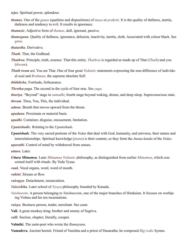<span id="page-58-14"></span>*tejas*. Spiritual power, splendour.

- <span id="page-58-9"></span>*thamas*. One of the *[gunas](#page-50-6)* (qualities and dispositions) of *[maya](#page-53-5)* or *[prakriti](#page-54-4)*. It is the quality of dullness, inertia, darkness and tendency to evil. It results in ignorance.
- <span id="page-58-8"></span>*thamasic*. Adjective form of *[thamas](#page-58-9)*, dull, ignorant, passive.
- <span id="page-58-17"></span>*thamoguna*. Quality of dullness, ignorance, delusion, inactivity, inertia, sloth. Associated with colour black. See *[guna](#page-50-6)*.

<span id="page-58-11"></span>*thatastha*. Derivative.

<span id="page-58-23"></span>*Thath*. That, the Godhead.

- <span id="page-58-12"></span>*Thathwa*. Principle, truth, essence. That-this entity. *Thathwa* is regarded as made up of That (*[Thath](#page-58-23)*) and you (*thwam*).
- <span id="page-58-19"></span>*Thath twam asi*. You are That. One of four great *[Vedantic](#page-59-5)* statements expressing the non-difference of individual soul and *[Brahman](#page-49-1)*, the supreme absolute Self.

<span id="page-58-7"></span>*thithiksha*. Fortitude, forbearance.

*Thretha-yuga*. The second in the cycle of four eras. See *[yuga](#page-60-5).*

<span id="page-58-13"></span>*thuriya*. "Beyond" stage in *[samadhi](#page-56-16)*; fourth stage beyond waking, dream, and deep sleep. Superconscious state.

*thwam*. Thou, You, This, the individual.

<span id="page-58-16"></span>*udana*. Breath that moves upward from the throat.

<span id="page-58-15"></span>*upadana*. Proximate or material basis.

<span id="page-58-4"></span>*upadhi*. Container, disguise, encasement, limitation.

<span id="page-58-3"></span>*Upanishadic*. Relating to the *[Upanishads](#page-58-0)*.

<span id="page-58-0"></span>*Upanishads*. The very sacred portions of the *[Vedas](#page-59-2)* that deal with God, humanity, and universe, their nature and interrelationships. Spiritual knowledge (*[jnana](#page-51-2)*) is their content, so they form the *[Jnana-kanda](#page-51-20)* of the *[Vedas](#page-59-2)*.

<span id="page-58-6"></span>*uparathi*. Control of mind by withdrawal from senses.

*uttara*. Later.

<span id="page-58-2"></span>*Uttara Mimamsa*. Later *[Mimamsa](#page-53-14) [Vedantic](#page-59-0)* philosophy, as distinguished from earlier *[Mimamsa](#page-53-14)*, which concerned itself with rituals. By [Veda Vyasa.](#page-60-1)

*vaak*. Vocal organs, word, word of mouth.

*vahini*. Stream or flow.

<span id="page-58-5"></span>*vairagya*. Detachment, renunciation.

<span id="page-58-1"></span>*Vaiseshika*. Later school of *[Nyaya](#page-54-17)* philosophy founded by [Kanada](#page-52-2).

- <span id="page-58-20"></span>*Vaishnavite*. A person belonging to *Vaishnavism*, one of the major branches of Hinduism. It focuses on worhiping [Vishnu](#page-59-4) and his ten incarnations.
- <span id="page-58-10"></span>*vaisya*. Business person, trader, merchant. See [caste.](#page-49-4)
- <span id="page-58-22"></span>**Vali**. A great monkey-king; brother and enemy of [Sugriva](#page-57-22).
- *valli*. Section, chapter; literally, creeper.
- <span id="page-58-21"></span>**Valmiki**. The saint-poet who wrote the *[Ramayana](#page-55-18)*.

<span id="page-58-18"></span>**Vamadeva**. Ancient hermit. Friend of [Vasishta](#page-59-18) and a priest of [Dasaratha;](#page-50-9) he composed *[Rig-vedic](#page-55-20)* hymns.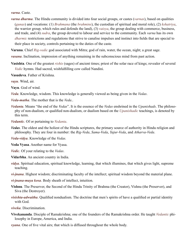#### *varna*. [Caste](#page-49-4).

*varna dharma*. The Hindu community is divided into four social groups, or [castes](#page-49-4) (*varnas*), based on qualities (*[gunas](#page-50-6)*) and vocations: (1) *Brahmana* (the *[brahmin](#page-49-5)s*), the custodian of spiritual and moral role), (2) *kshatriya*, the warrior group, which rules and defends the land), (3) *vaisya*, the group dealing with commerce, business, and trade, and (4) *sudra*, the group devoted to labour and service to the community. Each *varna* has its own *[dharmic](#page-50-5)* restrictions and regulations that strive to canalise impulses and instinct into fields that are special to their place in society, controls pertaining to the duties of the [caste](#page-49-4).

<span id="page-59-10"></span>**Varuna**. Chief *Rig-vedic* god associated with Mitra; god of rain, water, the ocean, night; a great sage.

<span id="page-59-14"></span>*vasana*. Inclination, impression of anything remaining in the subconscious mind from past action.

- <span id="page-59-18"></span>**Vasishta**. One of the greatest *[rishis](#page-55-15)* (sages) of ancient times; priest of the solar race of kings; revealer of several *[Vedic](#page-59-1)* hymns. Had sacred, wishfulfilling cow called Nandini.
- <span id="page-59-16"></span>**Vasudeva**. Father of [Krishna.](#page-52-7)

<span id="page-59-7"></span>*vayu*. Wind, air.

<span id="page-59-13"></span>**Vayu**. God of wind.

<span id="page-59-8"></span>*Veda*. Knowledge, wisdom. This knowledge is generally viewed as being given in the *Vedas*.

*Veda-matha*. The mother that is the *[Veda](#page-59-8)*..

<span id="page-59-0"></span>*Vedanta*. Means "the end of the *Vedas*". It is the essence of the *Vedas* enshrined in the *[Upanishads](#page-58-0)*. The philosophy of non-dualism, or qualified non-dualism, or dualism based on the *[Upanishadic](#page-58-0)* teachings, is denoted by this term.

<span id="page-59-5"></span>*Vedantic*. Of or pertaining to *[Vedanta](#page-59-0)*.

<span id="page-59-2"></span>*Vedas*. The oldest and the holiest of the Hindu scriptures, the primary source of authority in Hindu religion and philosophy. They are four in number: the *[Rig-Veda](#page-55-13)*, *[Sama-Veda](#page-56-17)*, *[Yajur-Veda](#page-60-6)*, and *[Atharva-Veda](#page-48-14)*.

*Veda-vidya*. Knowledge of the *[Vedas.](#page-59-2)*

<span id="page-59-3"></span>**Veda Vyasa**. Another name for [Vyasa.](#page-60-1)

<span id="page-59-1"></span>*Vedic*. Of your relating to the *Vedas*.

- <span id="page-59-15"></span>**Vidarbha**. An ancient country in India.
- *vidya*. Spiritual education, spiritual knowledge, learning, that which illumines, that which gives light, supreme teaching.

<span id="page-59-9"></span>*vi-jnana*. Highest wisdom; discriminating faculty of the intellect; spiritual wisdom beyond the material plane.

<span id="page-59-12"></span>*vi-jnana-maya kosa*. Body sheath of intellect, intuition.

- <span id="page-59-4"></span>**Vishnu**. The Preserver, the Second of the Hindu Trinity of Brahma (the Creator), Vishnu (the Preserver), and [Siva](#page-57-17) (the Destroyer).
- *visishta-adwaitha*. Qualified nondualism. The doctrine that men's spirits of have a qualified or partial identity with God.

<span id="page-59-6"></span>*viveka*. Discrimination.

<span id="page-59-17"></span>**Vivekananda**. Disciple of [Ramakrishna;](#page-55-21) one of the founders of the [Ramakrishna](#page-55-21) order. He taught *[Vedantic](#page-59-0)* philosophy in Europe, America, and India.

<span id="page-59-11"></span>*vyana*. One of five vital airs; that which is diffused throughout the whole body.